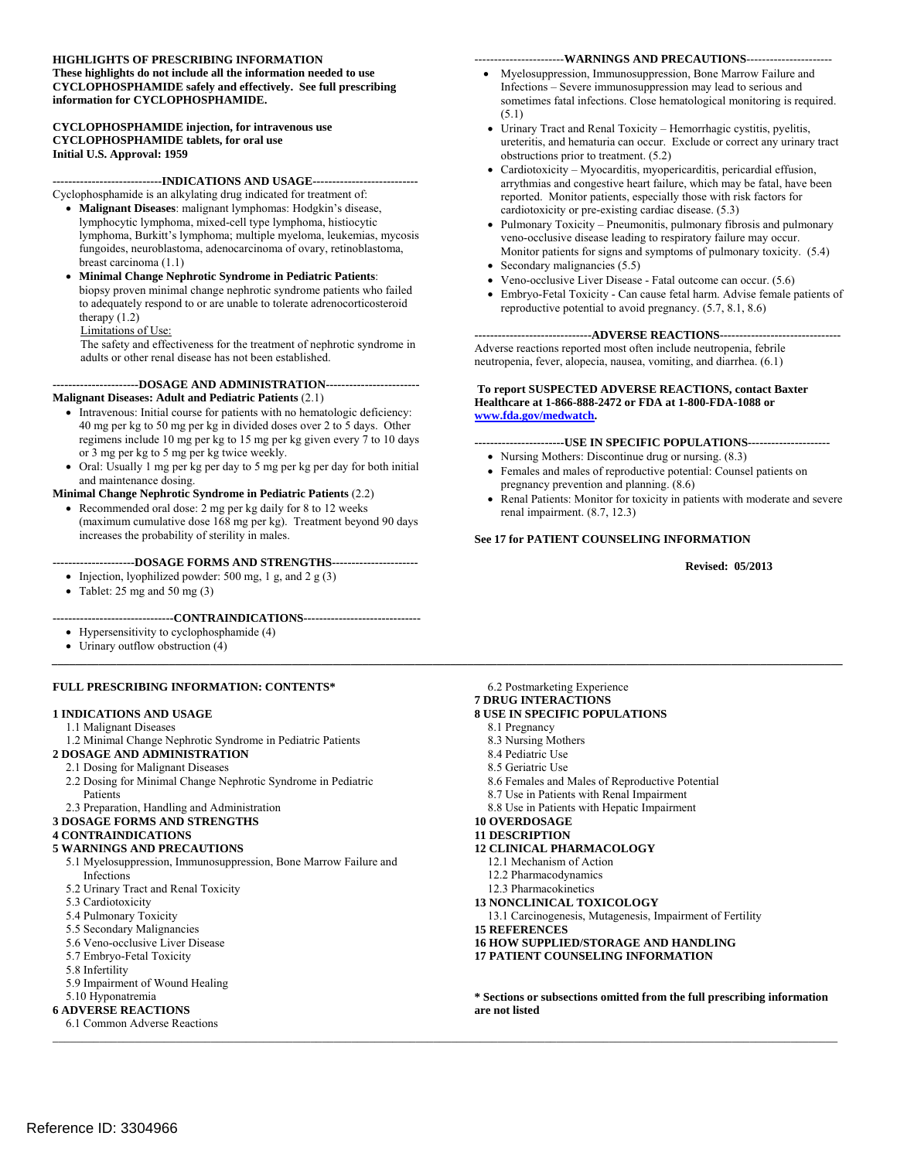#### **HIGHLIGHTS OF PRESCRIBING INFORMATION These highlights do not include all the information needed to use CYCLOPHOSPHAMIDE safely and effectively. See full prescribing information for CYCLOPHOSPHAMIDE.**

#### **CYCLOPHOSPHAMIDE injection, for intravenous use CYCLOPHOSPHAMIDE tablets, for oral use Initial U.S. Approval: 1959**

#### **----------------------------INDICATIONS AND USAGE---------------------------**

Cyclophosphamide is an alkylating drug indicated for treatment of:

- **Malignant Diseases**: malignant lymphomas: Hodgkin's disease, lymphocytic lymphoma, mixed-cell type lymphoma, histiocytic lymphoma, Burkitt's lymphoma; multiple myeloma, leukemias, mycosis fungoides, neuroblastoma, adenocarcinoma of ovary, retinoblastoma, breast carcinoma (1.1)
- **Minimal Change Nephrotic Syndrome in Pediatric Patients**: biopsy proven minimal change nephrotic syndrome patients who failed to adequately respond to or are unable to tolerate adrenocorticosteroid therapy (1.2)

#### Limitations of Use:

 The safety and effectiveness for the treatment of nephrotic syndrome in adults or other renal disease has not been established.

#### **----------------------DOSAGE AND ADMINISTRATION------------------------ Malignant Diseases: Adult and Pediatric Patients** (2.1)

- 40 mg per kg to 50 mg per kg in divided doses over 2 to 5 days. Other Intravenous: Initial course for patients with no hematologic deficiency: regimens include 10 mg per kg to 15 mg per kg given every 7 to 10 days or 3 mg per kg to 5 mg per kg twice weekly.
- Oral: Usually 1 mg per kg per day to 5 mg per kg per day for both initial and maintenance dosing.

#### **Minimal Change Nephrotic Syndrome in Pediatric Patients** (2.2)

 increases the probability of sterility in males. Recommended oral dose: 2 mg per kg daily for 8 to 12 weeks (maximum cumulative dose 168 mg per kg). Treatment beyond 90 days

#### **---------------------DOSAGE FORMS AND STRENGTHS----------------------**

- Injection, lyophilized powder: 500 mg, 1 g, and 2 g  $(3)$
- Tablet:  $25 \text{ mg}$  and  $50 \text{ mg}$   $(3)$
- **-------------------------------CONTRAINDICATIONS------------------------------**
- Hypersensitivity to cyclophosphamide (4)
- Urinary outflow obstruction (4)

#### **FULL PRESCRIBING INFORMATION: CONTENTS\***

#### **1 INDICATIONS AND USAGE**

- 1.1 Malignant Diseases
- 1.2 Minimal Change Nephrotic Syndrome in Pediatric Patients

#### **2 DOSAGE AND ADMINISTRATION**

#### 2.1 Dosing for Malignant Diseases

- 2.2 Dosing for Minimal Change Nephrotic Syndrome in Pediatric Patients
- 2.3 Preparation, Handling and Administration
- **3 DOSAGE FORMS AND STRENGTHS**

#### **4 CONTRAINDICATIONS**

#### **5 WARNINGS AND PRECAUTIONS**

- 5.1 Myelosuppression, Immunosuppression, Bone Marrow Failure and Infections
- 5.2 Urinary Tract and Renal Toxicity
- 5.3 Cardiotoxicity
- 5.4 Pulmonary Toxicity
- 5.5 Secondary Malignancies
- 5.6 Veno-occlusive Liver Disease
- 5.7 Embryo-Fetal Toxicity
- 5.8 Infertility
- 5.9 Impairment of Wound Healing

#### 5.10 Hyponatremia **6 ADVERSE REACTIONS**

6.1 Common Adverse Reactions

#### -----------------------**WARNINGS AND PRECAUTIONS**---------------------

- Myelosuppression, Immunosuppression, Bone Marrow Failure and Infections – Severe immunosuppression may lead to serious and sometimes fatal infections. Close hematological monitoring is required. (5.1)
- Urinary Tract and Renal Toxicity Hemorrhagic cystitis, pyelitis, ureteritis, and hematuria can occur. Exclude or correct any urinary tract obstructions prior to treatment. (5.2)
- Cardiotoxicity Myocarditis, myopericarditis, pericardial effusion, arrythmias and congestive heart failure, which may be fatal, have been reported. Monitor patients, especially those with risk factors for cardiotoxicity or pre-existing cardiac disease. (5.3)
- veno-occlusive disease leading to respiratory failure may occur. Monitor patients for signs and symptoms of pulmonary toxicity. (5.4) Pulmonary Toxicity – Pneumonitis, pulmonary fibrosis and pulmonary
- Secondary malignancies (5.5)
- Veno-occlusive Liver Disease Fatal outcome can occur. (5.6)
- Embryo-Fetal Toxicity Can cause fetal harm. Advise female patients of reproductive potential to avoid pregnancy. (5.7, 8.1, 8.6)

**------------------------------ADVERSE REACTIONS-------------------------------**  Adverse reactions reported most often include neutropenia, febrile neutropenia, fever, alopecia, nausea, vomiting, and diarrhea. (6.1)

#### **To report SUSPECTED ADVERSE REACTIONS, contact Baxter Healthcare at 1-866-888-2472 or FDA at 1-800-FDA-1088 or [www.fda.gov/medwatch.](http://www.fda.gov/medwatch)**

#### **-----------------------USE IN SPECIFIC POPULATIONS---------------------**

- Nursing Mothers: Discontinue drug or nursing. (8.3) Females and males of reproductive potential: Counsel patients on pregnancy prevention and planning. (8.6)
- renal impairment. (8.7, 12.3) Renal Patients: Monitor for toxicity in patients with moderate and severe

#### **See 17 for PATIENT COUNSELING INFORMATION**

#### **Revised: 05/2013**

6.2 Postmarketing Experience **7 DRUG INTERACTIONS** 

#### **8 USE IN SPECIFIC POPULATIONS**

8.1 Pregnancy

*\_\_\_\_\_\_\_\_\_\_\_\_\_\_\_\_\_\_\_\_\_\_\_\_\_\_\_\_\_\_\_\_\_\_\_\_\_\_\_\_\_\_\_\_\_\_\_\_\_\_\_\_\_\_\_\_\_\_\_\_\_\_\_\_\_\_\_\_\_\_\_\_\_\_\_\_\_\_\_\_\_\_\_\_\_\_\_\_\_\_\_\_\_\_\_\_\_\_\_\_\_\_\_\_\_\_\_\_\_\_\_\_\_\_\_\_\_\_\_\_\_\_\_\_\_\_\_\_\_\_\_\_\_\_\_* 

*\_\_\_\_\_\_\_\_\_\_\_\_\_\_\_\_\_\_\_\_\_\_\_\_\_\_\_\_\_\_\_\_\_\_\_\_\_\_\_\_\_\_\_\_\_\_\_\_\_\_\_\_\_\_\_\_\_\_\_\_\_\_\_\_\_\_\_\_\_\_\_\_\_\_\_\_\_\_\_\_\_\_\_\_\_\_\_\_\_\_\_\_\_\_\_\_\_\_\_\_\_\_\_\_\_\_\_\_\_\_\_\_\_\_\_\_\_\_\_\_\_\_\_\_\_\_\_\_\_\_\_\_\_\_* 

- 8.3 Nursing Mothers
- 8.4 Pediatric Use
- 8.5 Geriatric Use
- 8.6 Females and Males of Reproductive Potential
- 8.7 Use in Patients with Renal Impairment
- 8.8 Use in Patients with Hepatic Impairment

#### **10 OVERDOSAGE**

- **11 DESCRIPTION**
- **12 CLINICAL PHARMACOLOGY** 
	- 12.1 Mechanism of Action
	- 12.2 Pharmacodynamics
	- 12.3 Pharmacokinetics
- **13 NONCLINICAL TOXICOLOGY**
- 13.1 Carcinogenesis, Mutagenesis, Impairment of Fertility
- **15 REFERENCES**
- **16 HOW SUPPLIED/STORAGE AND HANDLING**
- **17 PATIENT COUNSELING INFORMATION**

**\* Sections or subsections omitted from the full prescribing information are not listed**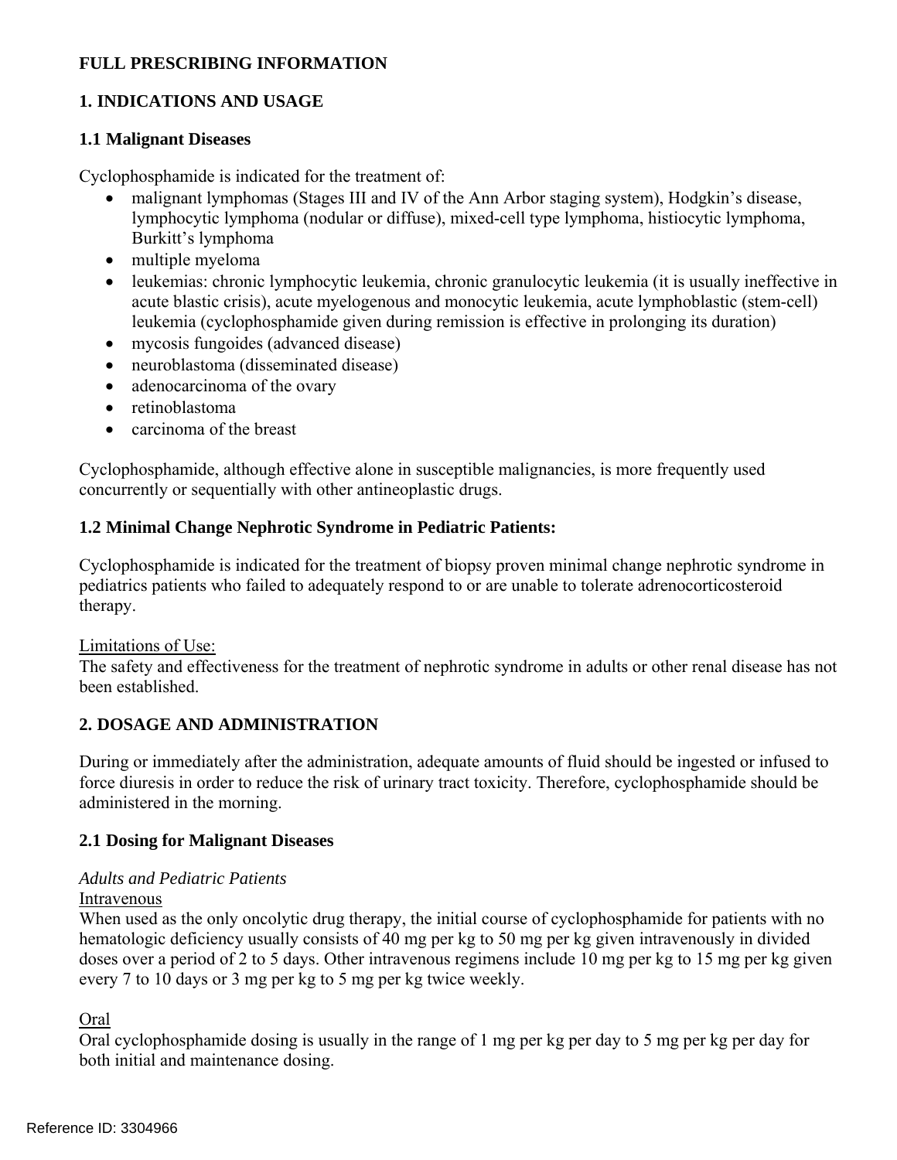# **FULL PRESCRIBING INFORMATION**

# **1. INDICATIONS AND USAGE**

#### **1.1 Malignant Diseases**

Cyclophosphamide is indicated for the treatment of:

- malignant lymphomas (Stages III and IV of the Ann Arbor staging system), Hodgkin's disease, lymphocytic lymphoma (nodular or diffuse), mixed-cell type lymphoma, histiocytic lymphoma, Burkitt's lymphoma
- multiple myeloma
- leukemias: chronic lymphocytic leukemia, chronic granulocytic leukemia (it is usually ineffective in acute blastic crisis), acute myelogenous and monocytic leukemia, acute lymphoblastic (stem-cell) leukemia (cyclophosphamide given during remission is effective in prolonging its duration)
- mycosis fungoides (advanced disease)
- neuroblastoma (disseminated disease)
- adenocarcinoma of the ovary
- retinoblastoma
- carcinoma of the breast

Cyclophosphamide, although effective alone in susceptible malignancies, is more frequently used concurrently or sequentially with other antineoplastic drugs.

# **1.2 Minimal Change Nephrotic Syndrome in Pediatric Patients:**

Cyclophosphamide is indicated for the treatment of biopsy proven minimal change nephrotic syndrome in pediatrics patients who failed to adequately respond to or are unable to tolerate adrenocorticosteroid therapy.

#### Limitations of Use:

The safety and effectiveness for the treatment of nephrotic syndrome in adults or other renal disease has not been established.

# **2. DOSAGE AND ADMINISTRATION**

During or immediately after the administration, adequate amounts of fluid should be ingested or infused to force diuresis in order to reduce the risk of urinary tract toxicity. Therefore, cyclophosphamide should be administered in the morning.

## **2.1 Dosing for Malignant Diseases**

## *Adults and Pediatric Patients*

#### Intravenous

When used as the only oncolytic drug therapy, the initial course of cyclophosphamide for patients with no hematologic deficiency usually consists of 40 mg per kg to 50 mg per kg given intravenously in divided doses over a period of 2 to 5 days. Other intravenous regimens include 10 mg per kg to 15 mg per kg given every 7 to 10 days or 3 mg per kg to 5 mg per kg twice weekly.

Oral

Oral cyclophosphamide dosing is usually in the range of 1 mg per kg per day to 5 mg per kg per day for both initial and maintenance dosing.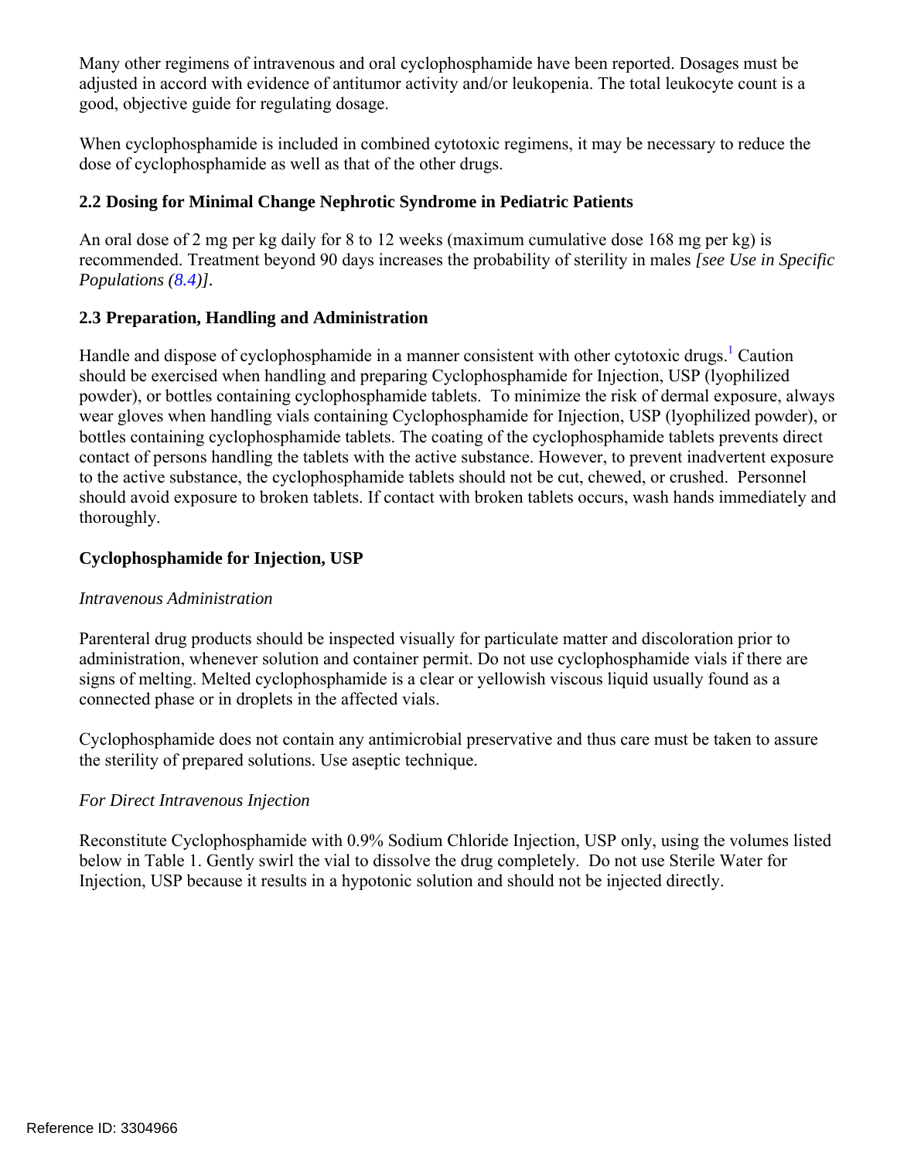Many other regimens of intravenous and oral cyclophosphamide have been reported. Dosages must be adjusted in accord with evidence of antitumor activity and/or leukopenia. The total leukocyte count is a good, objective guide for regulating dosage.

When cyclophosphamide is included in combined cytotoxic regimens, it may be necessary to reduce the dose of cyclophosphamide as well as that of the other drugs.

# **2.2 Dosing for Minimal Change Nephrotic Syndrome in Pediatric Patients**

An oral dose of 2 mg per kg daily for 8 to 12 weeks (maximum cumulative dose 168 mg per kg) is recommended. Treatment beyond 90 days increases the probability of sterility in males *[see Use in Specific Populations (8.4[\)\].](#page-11-0)* 

# <span id="page-2-0"></span>**2.3 Preparation, Handling and Administration**

Handle and dispose of cyclophosphamide in a manner consistent with other cytotoxic drugs.<sup>[1](#page-15-0)</sup> Caution should be exercised when handling and preparing Cyclophosphamide for Injection, USP (lyophilized powder), or bottles containing cyclophosphamide tablets. To minimize the risk of dermal exposure, always wear gloves when handling vials containing Cyclophosphamide for Injection, USP (lyophilized powder), or bottles containing cyclophosphamide tablets. The coating of the cyclophosphamide tablets prevents direct contact of persons handling the tablets with the active substance. However, to prevent inadvertent exposure to the active substance, the cyclophosphamide tablets should not be cut, chewed, or crushed. Personnel should avoid exposure to broken tablets. If contact with broken tablets occurs, wash hands immediately and thoroughly.

# **Cyclophosphamide for Injection, USP**

## *Intravenous Administration*

Parenteral drug products should be inspected visually for particulate matter and discoloration prior to administration, whenever solution and container permit. Do not use cyclophosphamide vials if there are signs of melting. Melted cyclophosphamide is a clear or yellowish viscous liquid usually found as a connected phase or in droplets in the affected vials.

Cyclophosphamide does not contain any antimicrobial preservative and thus care must be taken to assure the sterility of prepared solutions. Use aseptic technique.

## *For Direct Intravenous Injection*

Reconstitute Cyclophosphamide with 0.9% Sodium Chloride Injection, USP only, using the volumes listed below in Table 1. Gently swirl the vial to dissolve the drug completely. Do not use Sterile Water for Injection, USP because it results in a hypotonic solution and should not be injected directly.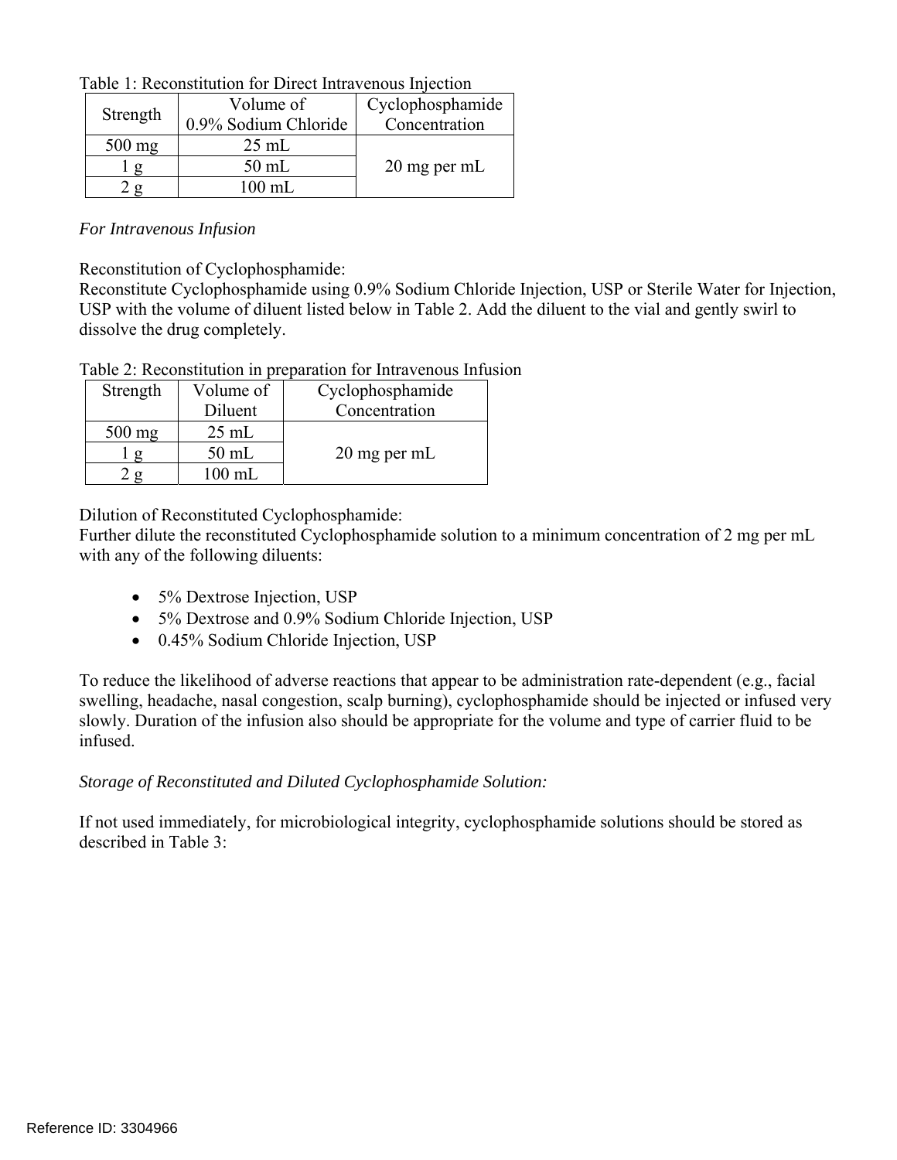| Table 1: Reconstitution for Direct Intravenous Injection |  |  |  |  |  |  |  |
|----------------------------------------------------------|--|--|--|--|--|--|--|
|----------------------------------------------------------|--|--|--|--|--|--|--|

|          | Volume of            | Cyclophosphamide |  |
|----------|----------------------|------------------|--|
| Strength | 0.9% Sodium Chloride | Concentration    |  |
| $500$ mg | $25 \text{ mL}$      |                  |  |
|          | $50$ mL              | 20 mg per mL     |  |
|          | $100 \text{ mL}$     |                  |  |

#### *For Intravenous Infusion*

Reconstitution of Cyclophosphamide:

Reconstitute Cyclophosphamide using 0.9% Sodium Chloride Injection, USP or Sterile Water for Injection, USP with the volume of diluent listed below in Table 2. Add the diluent to the vial and gently swirl to dissolve the drug completely.

Table 2: Reconstitution in preparation for Intravenous Infusion

| Strength | Volume of       | Cyclophosphamide |
|----------|-----------------|------------------|
|          | Diluent         | Concentration    |
| $500$ mg | $25 \text{ mL}$ |                  |
|          | $50$ mL         | 20 mg per mL     |
|          | 100 mL          |                  |

Dilution of Reconstituted Cyclophosphamide:

Further dilute the reconstituted Cyclophosphamide solution to a minimum concentration of 2 mg per mL with any of the following diluents:

- 5% Dextrose Injection, USP
- 5% Dextrose and 0.9% Sodium Chloride Injection, USP
- 0.45% Sodium Chloride Injection, USP

To reduce the likelihood of adverse reactions that appear to be administration rate-dependent (e.g., facial swelling, headache, nasal congestion, scalp burning), cyclophosphamide should be injected or infused very slowly. Duration of the infusion also should be appropriate for the volume and type of carrier fluid to be infused.

## *Storage of Reconstituted and Diluted Cyclophosphamide Solution:*

If not used immediately, for microbiological integrity, cyclophosphamide solutions should be stored as described in Table 3: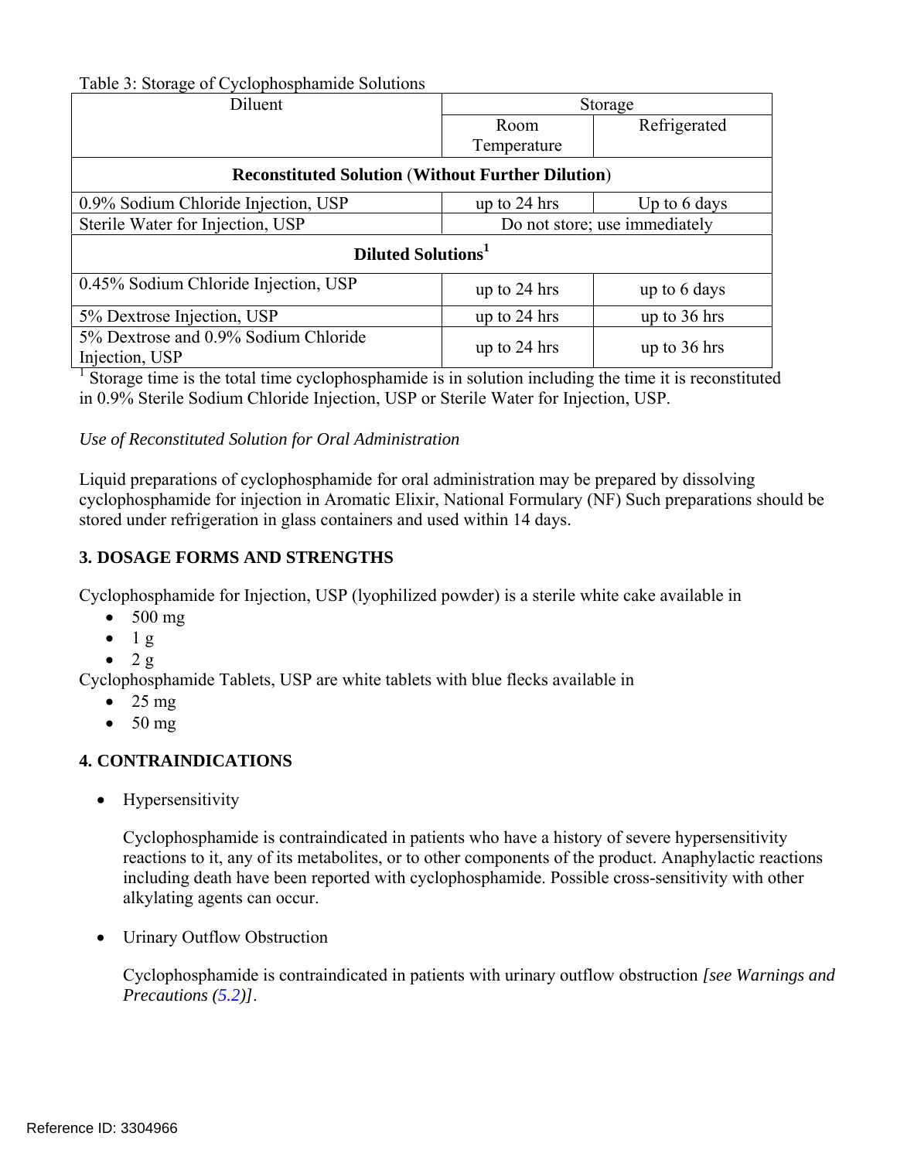Table 3: Storage of Cyclophosphamide Solutions

| -70<br>Diluent                                           | Storage                       |                |  |  |
|----------------------------------------------------------|-------------------------------|----------------|--|--|
|                                                          | Room                          | Refrigerated   |  |  |
|                                                          | Temperature                   |                |  |  |
| <b>Reconstituted Solution (Without Further Dilution)</b> |                               |                |  |  |
| 0.9% Sodium Chloride Injection, USP                      | up to 24 hrs                  | Up to 6 days   |  |  |
| Sterile Water for Injection, USP                         | Do not store; use immediately |                |  |  |
| Diluted Solutions <sup>1</sup>                           |                               |                |  |  |
| 0.45% Sodium Chloride Injection, USP                     | up to 24 hrs                  | up to 6 days   |  |  |
| 5% Dextrose Injection, USP                               | up to 24 hrs                  | up to $36$ hrs |  |  |
| 5% Dextrose and 0.9% Sodium Chloride<br>Injection, USP   | up to 24 hrs                  | up to $36$ hrs |  |  |

<sup>1</sup> Storage time is the total time cyclophosphamide is in solution including the time it is reconstituted in 0.9% Sterile Sodium Chloride Injection, USP or Sterile Water for Injection, USP.

## *Use of Reconstituted Solution for Oral Administration*

Liquid preparations of cyclophosphamide for oral administration may be prepared by dissolving cyclophosphamide for injection in Aromatic Elixir, National Formulary (NF) Such preparations should be stored under refrigeration in glass containers and used within 14 days.

# **3. DOSAGE FORMS AND STRENGTHS**

Cyclophosphamide for Injection, USP (lyophilized powder) is a sterile white cake available in

- $\bullet$  500 mg
- $-1 g$
- $\bullet$  2 g

Cyclophosphamide Tablets, USP are white tablets with blue flecks available in

- $\bullet$  25 mg
- $\bullet$  50 mg

# <span id="page-4-0"></span>**4. CONTRAINDICATIONS**

• Hypersensitivity

Cyclophosphamide is contraindicated in patients who have a history of severe hypersensitivity reactions to it, any of its metabolites, or to other components of the product. Anaphylactic reactions including death have been reported with cyclophosphamide. Possible cross-sensitivity with other alkylating agents can occur.

• Urinary Outflow Obstruction

Cyclophosphamide is contraindicated in patients with urinary outflow obstruction *[see Warnings and Precautions ([5.2\)](#page-5-0)]*.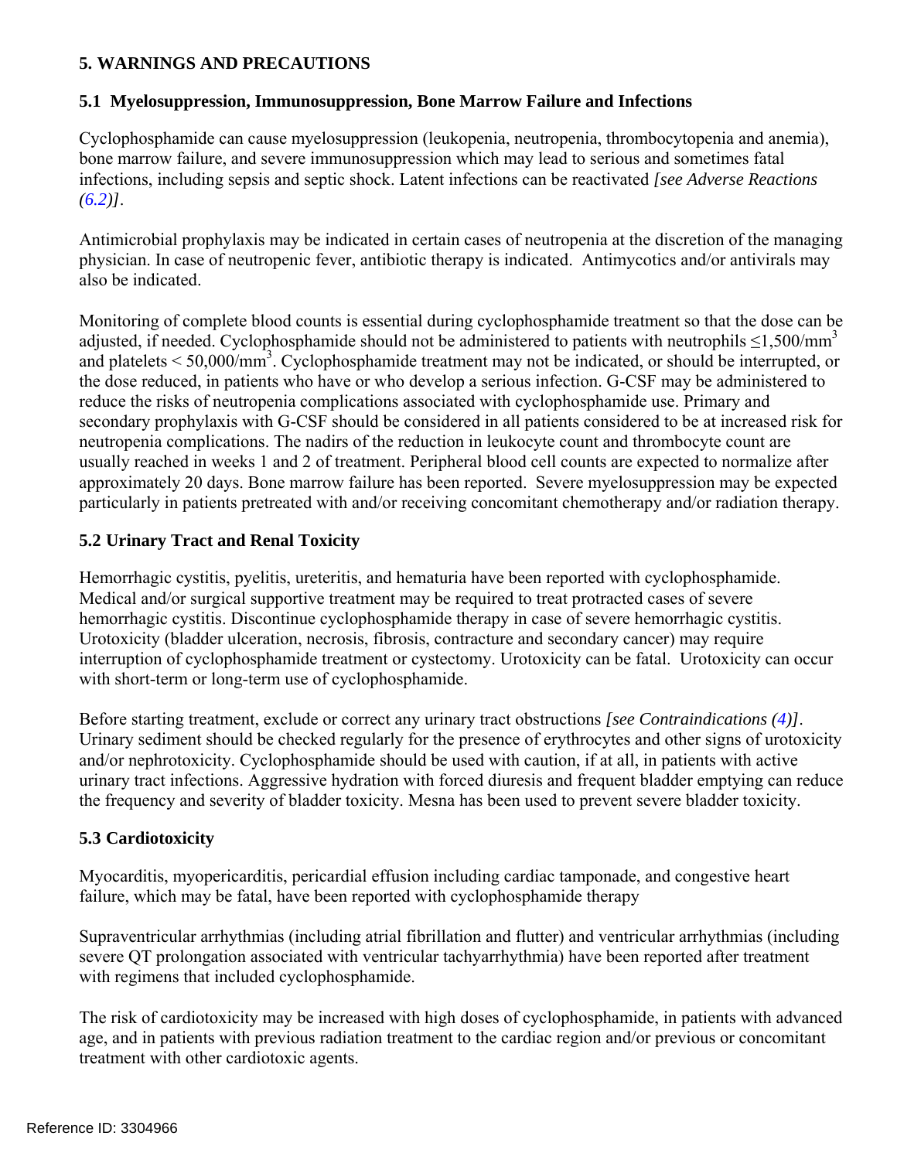# **5. WARNINGS AND PRECAUTIONS**

#### <span id="page-5-1"></span>**5.1 Myelosuppression, Immunosuppression, Bone Marrow Failure and Infections**

Cyclophosphamide can cause myelosuppression (leukopenia, neutropenia, thrombocytopenia and anemia), bone marrow failure, and severe immunosuppression which may lead to serious and sometimes fatal infections, including sepsis and septic shock. Latent infections can be reactivated *[see Adverse Reactions*   $(6.2)$  $(6.2)$  $(6.2)$ ].

Antimicrobial prophylaxis may be indicated in certain cases of neutropenia at the discretion of the managing physician. In case of neutropenic fever, antibiotic therapy is indicated. Antimycotics and/or antivirals may also be indicated.

Monitoring of complete blood counts is essential during cyclophosphamide treatment so that the dose can be adjusted, if needed. Cyclophosphamide should not be administered to patients with neutrophils  $\leq 1,500/\text{mm}^3$ and platelets  $\leq 50,000/\text{mm}^3$ . Cyclophosphamide treatment may not be indicated, or should be interrupted, or the dose reduced, in patients who have or who develop a serious infection. G-CSF may be administered to reduce the risks of neutropenia complications associated with cyclophosphamide use. Primary and secondary prophylaxis with G-CSF should be considered in all patients considered to be at increased risk for neutropenia complications. The nadirs of the reduction in leukocyte count and thrombocyte count are usually reached in weeks 1 and 2 of treatment. Peripheral blood cell counts are expected to normalize after approximately 20 days. Bone marrow failure has been reported. Severe myelosuppression may be expected particularly in patients pretreated with and/or receiving concomitant chemotherapy and/or radiation therapy.

# <span id="page-5-0"></span>**5.2 Urinary Tract and Renal Toxicity**

Hemorrhagic cystitis, pyelitis, ureteritis, and hematuria have been reported with cyclophosphamide. Medical and/or surgical supportive treatment may be required to treat protracted cases of severe hemorrhagic cystitis. Discontinue cyclophosphamide therapy in case of severe hemorrhagic cystitis. Urotoxicity (bladder ulceration, necrosis, fibrosis, contracture and secondary cancer) may require interruption of cyclophosphamide treatment or cystectomy. Urotoxicity can be fatal. Urotoxicity can occur with short-term or long-term use of cyclophosphamide.

Before starting treatment, exclude or correct any urinary tract obstructions *[see Contraindications ([4\)](#page-4-0)]*. Urinary sediment should be checked regularly for the presence of erythrocytes and other signs of urotoxicity and/or nephrotoxicity. Cyclophosphamide should be used with caution, if at all, in patients with active urinary tract infections. Aggressive hydration with forced diuresis and frequent bladder emptying can reduce the frequency and severity of bladder toxicity. Mesna has been used to prevent severe bladder toxicity.

## <span id="page-5-2"></span>**5.3 Cardiotoxicity**

Myocarditis, myopericarditis, pericardial effusion including cardiac tamponade, and congestive heart failure, which may be fatal, have been reported with cyclophosphamide therapy

Supraventricular arrhythmias (including atrial fibrillation and flutter) and ventricular arrhythmias (including severe QT prolongation associated with ventricular tachyarrhythmia) have been reported after treatment with regimens that included cyclophosphamide.

The risk of cardiotoxicity may be increased with high doses of cyclophosphamide, in patients with advanced age, and in patients with previous radiation treatment to the cardiac region and/or previous or concomitant treatment with other cardiotoxic agents.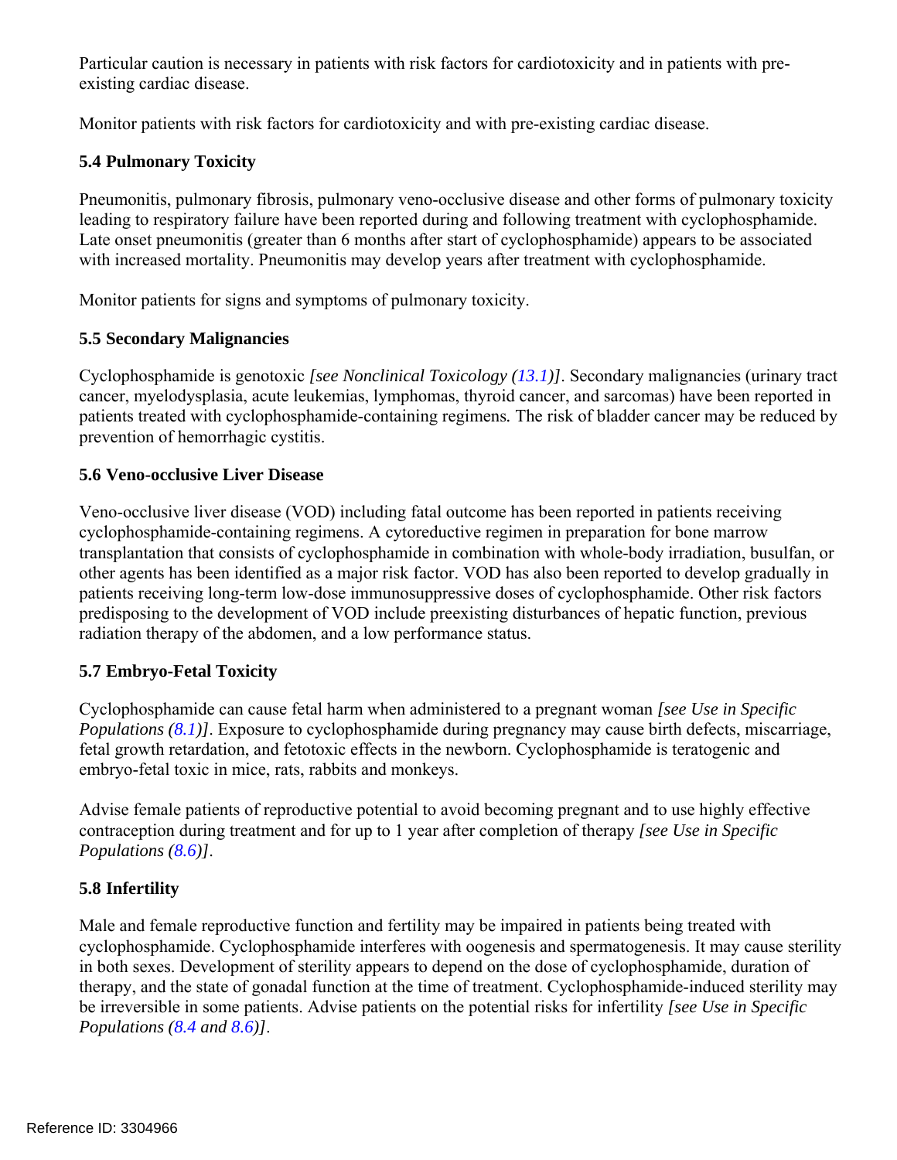Particular caution is necessary in patients with risk factors for cardiotoxicity and in patients with preexisting cardiac disease.

Monitor patients with risk factors for cardiotoxicity and with pre-existing cardiac disease.

# <span id="page-6-0"></span>**5.4 Pulmonary Toxicity**

Pneumonitis, pulmonary fibrosis, pulmonary veno-occlusive disease and other forms of pulmonary toxicity leading to respiratory failure have been reported during and following treatment with cyclophosphamide. Late onset pneumonitis (greater than 6 months after start of cyclophosphamide) appears to be associated with increased mortality. Pneumonitis may develop years after treatment with cyclophosphamide.

Monitor patients for signs and symptoms of pulmonary toxicity.

# <span id="page-6-1"></span>**5.5 Secondary Malignancies**

Cyclophosphamide is genotoxic *[see Nonclinical Toxicology [\(13.1](#page-15-1))]*. Secondary malignancies (urinary tract cancer, myelodysplasia, acute leukemias, lymphomas, thyroid cancer, and sarcomas) have been reported in patients treated with cyclophosphamide-containing regimens*.* The risk of bladder cancer may be reduced by prevention of hemorrhagic cystitis.

# <span id="page-6-2"></span>**5.6 Veno-occlusive Liver Disease**

Veno-occlusive liver disease (VOD) including fatal outcome has been reported in patients receiving cyclophosphamide-containing regimens. A cytoreductive regimen in preparation for bone marrow transplantation that consists of cyclophosphamide in combination with whole-body irradiation, busulfan, or other agents has been identified as a major risk factor. VOD has also been reported to develop gradually in patients receiving long-term low-dose immunosuppressive doses of cyclophosphamide. Other risk factors predisposing to the development of VOD include preexisting disturbances of hepatic function, previous radiation therapy of the abdomen, and a low performance status.

# <span id="page-6-3"></span>**5.7 Embryo-Fetal Toxicity**

Cyclophosphamide can cause fetal harm when administered to a pregnant woman *[see Use in Specific Populations ([8.1](#page-11-1))]*. Exposure to cyclophosphamide during pregnancy may cause birth defects, miscarriage, fetal growth retardation, and fetotoxic effects in the newborn. Cyclophosphamide is teratogenic and embryo-fetal toxic in mice, rats, rabbits and monkeys.

Advise female patients of reproductive potential to avoid becoming pregnant and to use highly effective contraception during treatment and for up to 1 year after completion of therapy *[see Use in Specific Populations ([8.6](#page-12-0))]*.

# <span id="page-6-4"></span>**5.8 Infertility**

Male and female reproductive function and fertility may be impaired in patients being treated with cyclophosphamide. Cyclophosphamide interferes with oogenesis and spermatogenesis. It may cause sterility in both sexes. Development of sterility appears to depend on the dose of cyclophosphamide, duration of therapy, and the state of gonadal function at the time of treatment. Cyclophosphamide-induced sterility may be irreversible in some patients. Advise patients on the potential risks for infertility *[see Use in Specific Populations ([8.4](#page-11-0) and [8.6](#page-12-0))]*.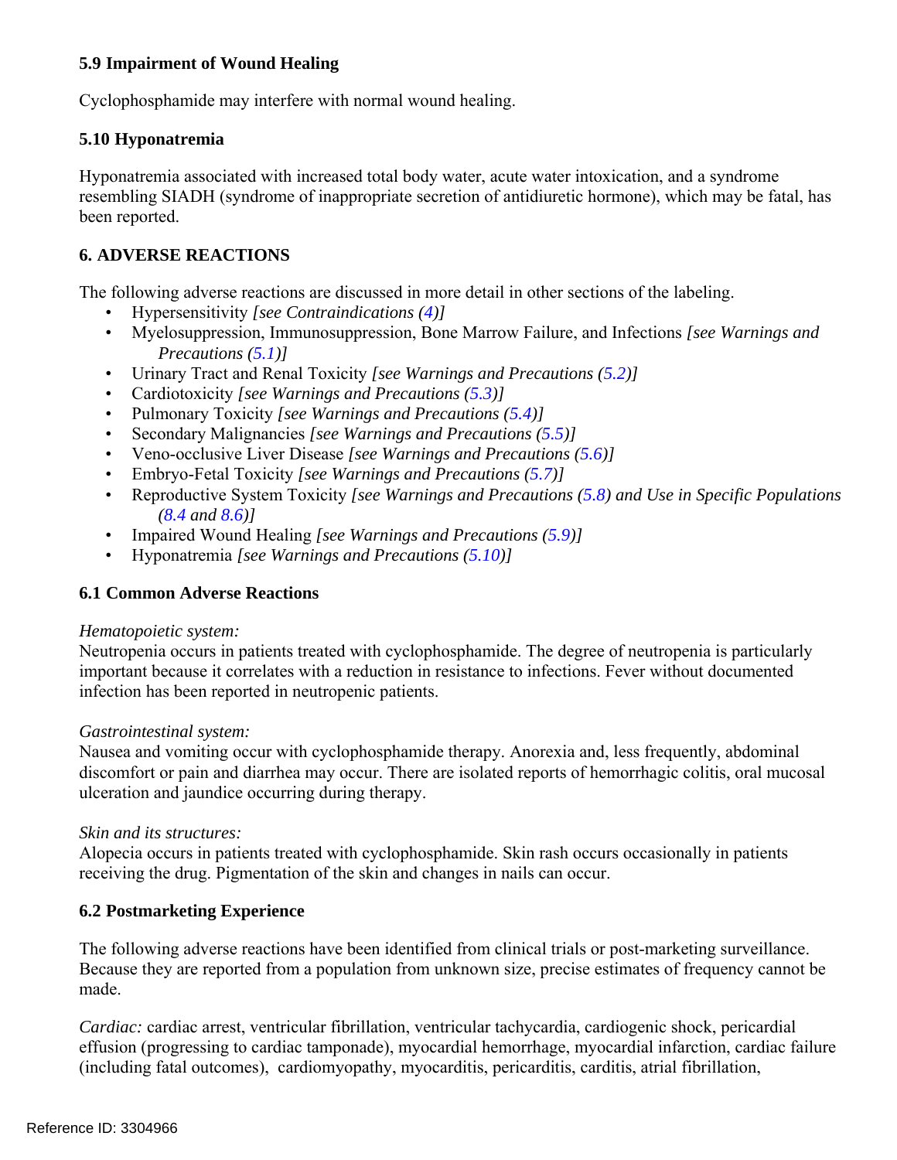# <span id="page-7-1"></span>**5.9 Impairment of Wound Healing**

Cyclophosphamide may interfere with normal wound healing.

# <span id="page-7-2"></span>**5.10 Hyponatremia**

Hyponatremia associated with increased total body water, acute water intoxication, and a syndrome resembling SIADH (syndrome of inappropriate secretion of antidiuretic hormone), which may be fatal, has been reported.

# <span id="page-7-3"></span>**6. ADVERSE REACTIONS**

The following adverse reactions are discussed in more detail in other sections of the labeling.

- Hypersensitivity *[see Contraindications ([4\)](#page-4-0)]*
- • Myelosuppression, Immunosuppression, Bone Marrow Failure, and Infections *[see Warnings and Precautions ([5.1\)](#page-5-1)]*
- Urinary Tract and Renal Toxicity *[see Warnings and Precautions [\(5.2](#page-5-0))]*
- Cardiotoxicity *[see Warnings and Precautions [\(5.3](#page-5-2))]*
- Pulmonary Toxicity *[see Warnings and Precautions ([5.4](#page-6-0))]*
- Secondary Malignancies *[see Warnings and Precautions [\(5.5](#page-6-1))]*
- Veno-occlusive Liver Disease *[see Warnings and Precautions [\(5.6](#page-6-2))]*
- Embryo-Fetal Toxicity *[see Warnings and Precautions ([5.7\)](#page-6-3)]*
- Reproductive System Toxicity *[see Warnings and Precautions [\(5.8](#page-6-4)) and Use in Specific Populations ([8.4](#page-11-0) and [8.6](#page-12-0))]*
- Impaired Wound Healing *[see Warnings and Precautions [\(5.9](#page-7-1))]*
- Hyponatremia *[see Warnings and Precautions [\(5.10](#page-7-2))]*

## **6.1 Common Adverse Reactions**

#### *Hematopoietic system:*

Neutropenia occurs in patients treated with cyclophosphamide. The degree of neutropenia is particularly important because it correlates with a reduction in resistance to infections. Fever without documented infection has been reported in neutropenic patients.

## *Gastrointestinal system:*

Nausea and vomiting occur with cyclophosphamide therapy. Anorexia and, less frequently, abdominal discomfort or pain and diarrhea may occur. There are isolated reports of hemorrhagic colitis, oral mucosal ulceration and jaundice occurring during therapy.

## *Skin and its structures:*

Alopecia occurs in patients treated with cyclophosphamide. Skin rash occurs occasionally in patients receiving the drug. Pigmentation of the skin and changes in nails can occur.

## <span id="page-7-0"></span>**6.2 Postmarketing Experience**

The following adverse reactions have been identified from clinical trials or post-marketing surveillance. Because they are reported from a population from unknown size, precise estimates of frequency cannot be made.

*Cardiac:* cardiac arrest, ventricular fibrillation, ventricular tachycardia, cardiogenic shock, pericardial effusion (progressing to cardiac tamponade), myocardial hemorrhage, myocardial infarction, cardiac failure (including fatal outcomes), cardiomyopathy, myocarditis, pericarditis, carditis, atrial fibrillation,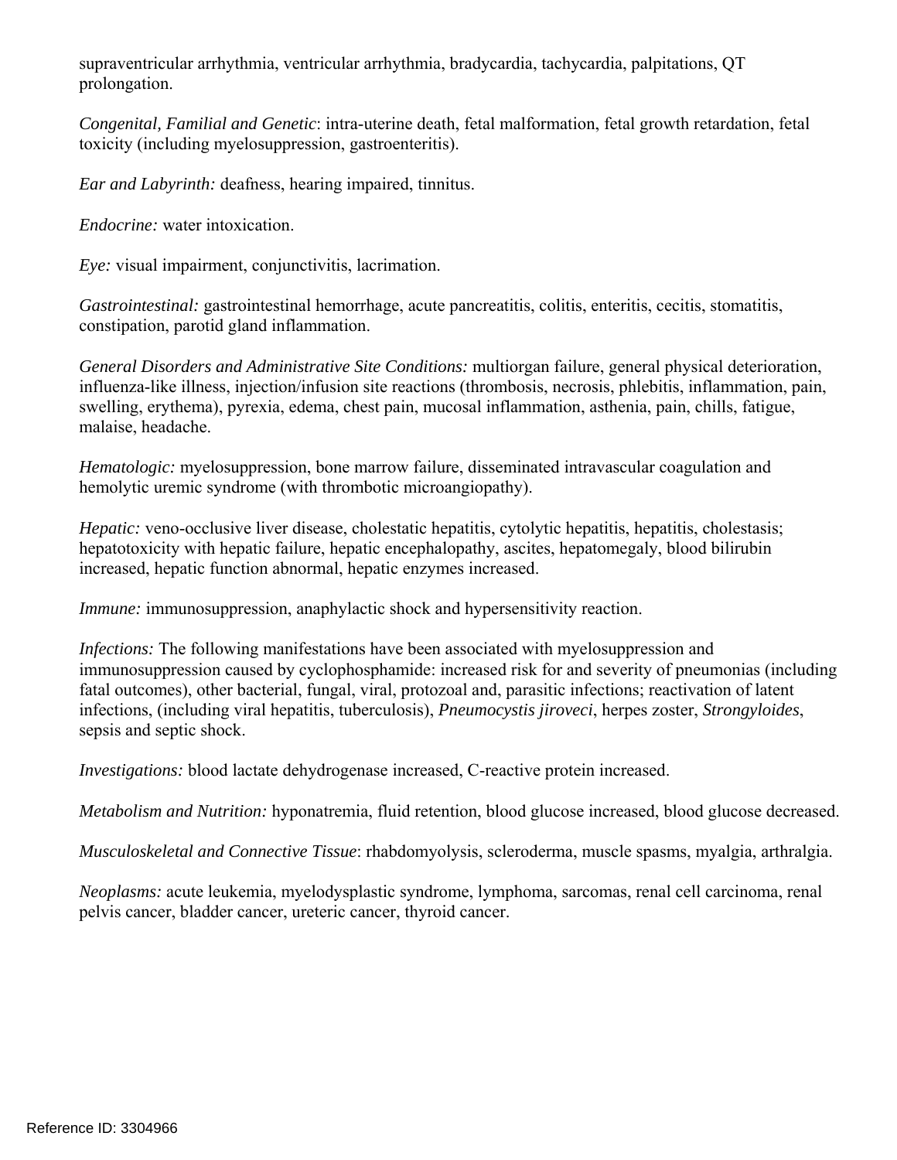supraventricular arrhythmia, ventricular arrhythmia, bradycardia, tachycardia, palpitations, QT prolongation.

*Congenital, Familial and Genetic*: intra-uterine death, fetal malformation, fetal growth retardation, fetal toxicity (including myelosuppression, gastroenteritis).

*Ear and Labyrinth:* deafness, hearing impaired, tinnitus.

*Endocrine:* water intoxication.

*Eye:* visual impairment, conjunctivitis, lacrimation.

*Gastrointestinal:* gastrointestinal hemorrhage, acute pancreatitis, colitis, enteritis, cecitis, stomatitis, constipation, parotid gland inflammation.

*General Disorders and Administrative Site Conditions:* multiorgan failure, general physical deterioration, influenza-like illness, injection/infusion site reactions (thrombosis, necrosis, phlebitis, inflammation, pain, swelling, erythema), pyrexia, edema, chest pain, mucosal inflammation, asthenia, pain, chills, fatigue, malaise, headache.

*Hematologic:* myelosuppression, bone marrow failure, disseminated intravascular coagulation and hemolytic uremic syndrome (with thrombotic microangiopathy).

*Hepatic:* veno-occlusive liver disease, cholestatic hepatitis, cytolytic hepatitis, hepatitis, cholestasis; hepatotoxicity with hepatic failure, hepatic encephalopathy, ascites, hepatomegaly, blood bilirubin increased, hepatic function abnormal, hepatic enzymes increased.

*Immune:* immunosuppression, anaphylactic shock and hypersensitivity reaction.

*Infections:* The following manifestations have been associated with myelosuppression and immunosuppression caused by cyclophosphamide: increased risk for and severity of pneumonias (including fatal outcomes), other bacterial, fungal, viral, protozoal and, parasitic infections; reactivation of latent infections, (including viral hepatitis, tuberculosis), *Pneumocystis jiroveci*, herpes zoster, *Strongyloides*, sepsis and septic shock.

*Investigations:* blood lactate dehydrogenase increased, C-reactive protein increased.

*Metabolism and Nutrition:* hyponatremia, fluid retention, blood glucose increased, blood glucose decreased.

*Musculoskeletal and Connective Tissue*: rhabdomyolysis, scleroderma, muscle spasms, myalgia, arthralgia.

*Neoplasms:* acute leukemia, myelodysplastic syndrome, lymphoma, sarcomas, renal cell carcinoma, renal pelvis cancer, bladder cancer, ureteric cancer, thyroid cancer.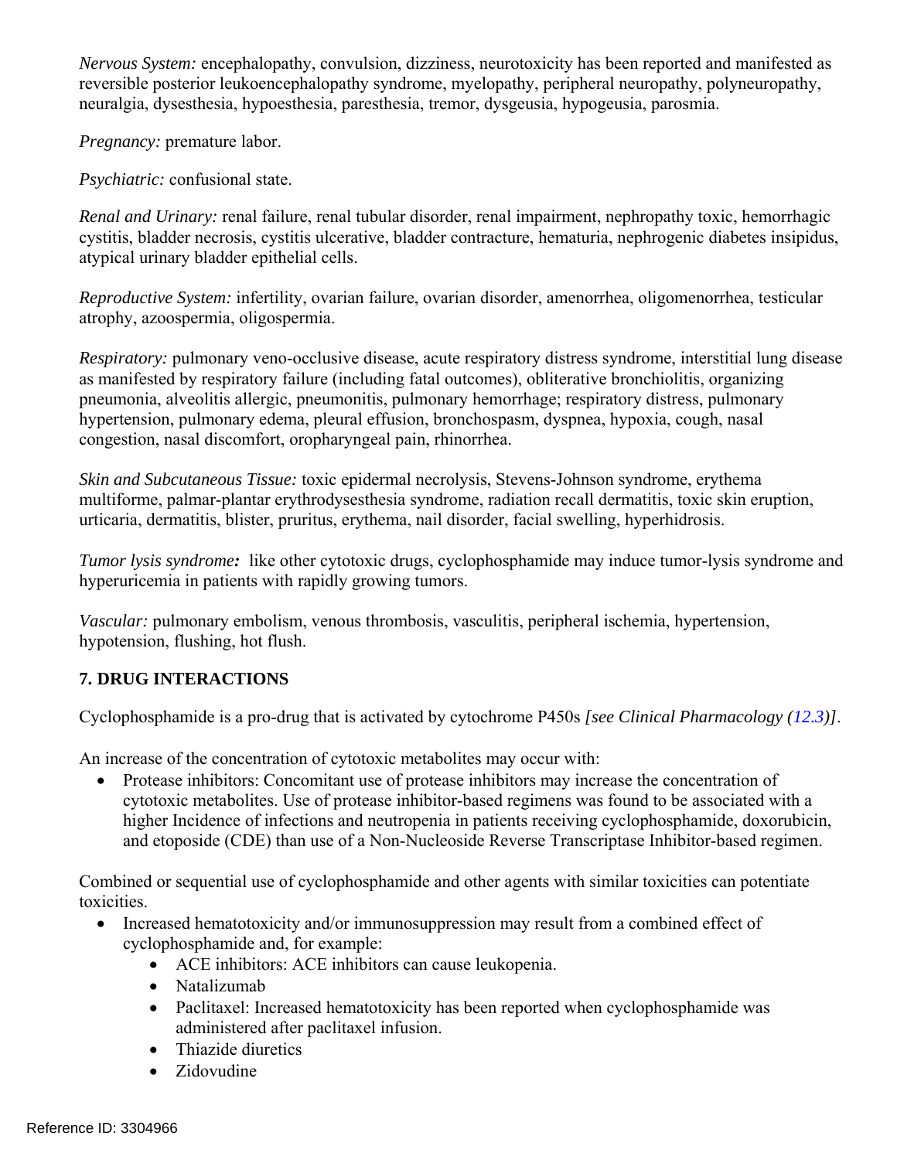*Nervous System:* encephalopathy, convulsion, dizziness, neurotoxicity has been reported and manifested as reversible posterior leukoencephalopathy syndrome, myelopathy, peripheral neuropathy, polyneuropathy, neuralgia, dysesthesia, hypoesthesia, paresthesia, tremor, dysgeusia, hypogeusia, parosmia.

*Pregnancy:* premature labor.

*Psychiatric:* confusional state.

*Renal and Urinary:* renal failure, renal tubular disorder, renal impairment, nephropathy toxic, hemorrhagic cystitis, bladder necrosis, cystitis ulcerative, bladder contracture, hematuria, nephrogenic diabetes insipidus, atypical urinary bladder epithelial cells.

*Reproductive System:* infertility, ovarian failure, ovarian disorder, amenorrhea, oligomenorrhea, testicular atrophy, azoospermia, oligospermia.

*Respiratory:* pulmonary veno-occlusive disease, acute respiratory distress syndrome, interstitial lung disease as manifested by respiratory failure (including fatal outcomes), obliterative bronchiolitis, organizing pneumonia, alveolitis allergic, pneumonitis, pulmonary hemorrhage; respiratory distress, pulmonary hypertension, pulmonary edema, pleural effusion, bronchospasm, dyspnea, hypoxia, cough, nasal congestion, nasal discomfort, oropharyngeal pain, rhinorrhea.

*Skin and Subcutaneous Tissue:* toxic epidermal necrolysis, Stevens-Johnson syndrome, erythema multiforme, palmar-plantar erythrodysesthesia syndrome, radiation recall dermatitis, toxic skin eruption, urticaria, dermatitis, blister, pruritus, erythema, nail disorder, facial swelling, hyperhidrosis.

*Tumor lysis syndrome*: like other cytotoxic drugs, cyclophosphamide may induce tumor-lysis syndrome and hyperuricemia in patients with rapidly growing tumors.

*Vascular:* pulmonary embolism, venous thrombosis, vasculitis, peripheral ischemia, hypertension, hypotension, flushing, hot flush.

# **7. DRUG INTERACTIONS**

Cyclophosphamide is a pro-drug that is activated by cytochrome P450s *[see Clinical Pharmacology ([12.3\)](#page-14-0)]*.

An increase of the concentration of cytotoxic metabolites may occur with:

• Protease inhibitors: Concomitant use of protease inhibitors may increase the concentration of cytotoxic metabolites. Use of protease inhibitor-based regimens was found to be associated with a higher Incidence of infections and neutropenia in patients receiving cyclophosphamide, doxorubicin, and etoposide (CDE) than use of a Non-Nucleoside Reverse Transcriptase Inhibitor-based regimen.

Combined or sequential use of cyclophosphamide and other agents with similar toxicities can potentiate toxicities.

- Increased hematotoxicity and/or immunosuppression may result from a combined effect of cyclophosphamide and, for example:
	- ACE inhibitors: ACE inhibitors can cause leukopenia.
	- Natalizumah
	- Paclitaxel: Increased hematotoxicity has been reported when cyclophosphamide was administered after paclitaxel infusion.
	- Thiazide diuretics
	- Zidovudine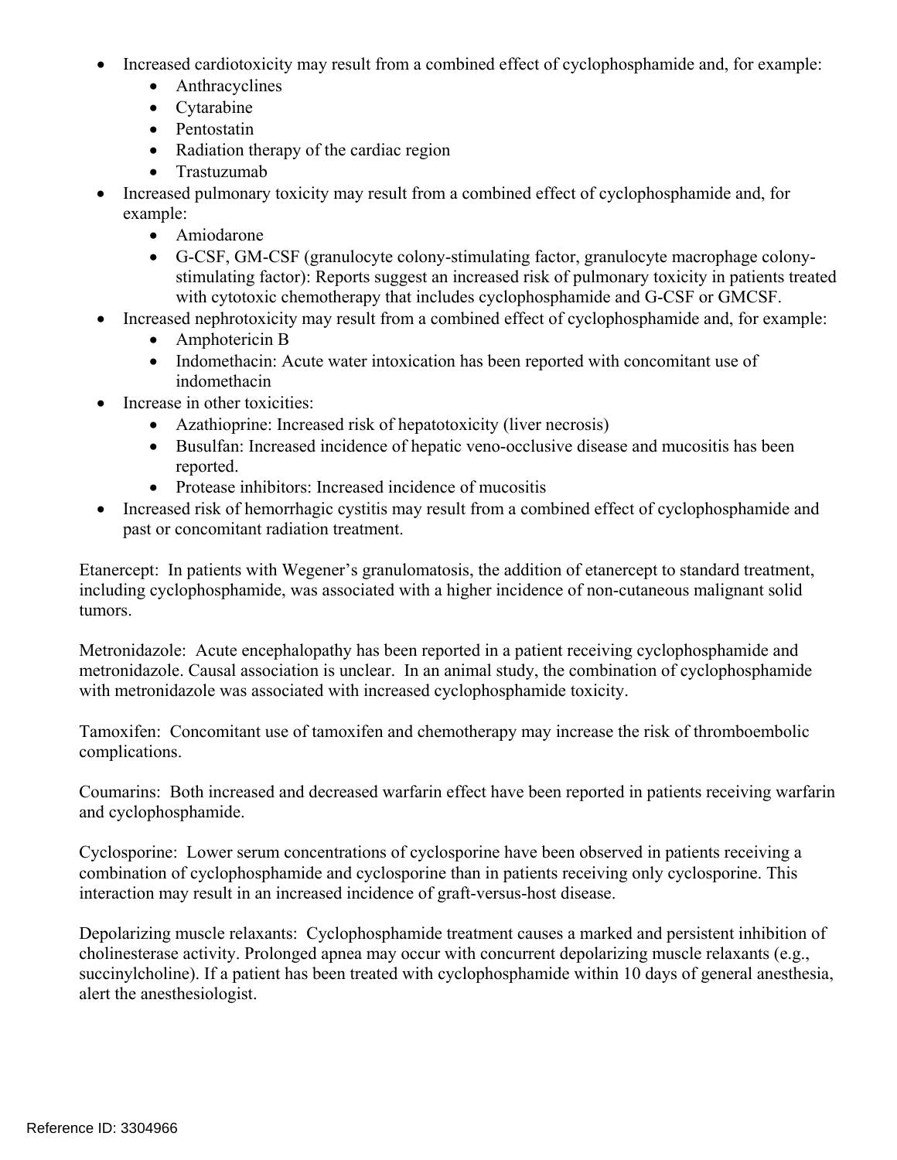- Increased cardiotoxicity may result from a combined effect of cyclophosphamide and, for example:
	- Anthracyclines
	- Cytarabine
	- Pentostatin
	- Radiation therapy of the cardiac region
	- Trastuzumab
- Increased pulmonary toxicity may result from a combined effect of cyclophosphamide and, for example:
	- Amiodarone
	- G-CSF, GM-CSF (granulocyte colony-stimulating factor, granulocyte macrophage colonystimulating factor): Reports suggest an increased risk of pulmonary toxicity in patients treated with cytotoxic chemotherapy that includes cyclophosphamide and G-CSF or GMCSF.
- Increased nephrotoxicity may result from a combined effect of cyclophosphamide and, for example:
	- Amphotericin B
	- Indomethacin: Acute water intoxication has been reported with concomitant use of indomethacin
- Increase in other toxicities:
	- Azathioprine: Increased risk of hepatotoxicity (liver necrosis)
	- Busulfan: Increased incidence of hepatic veno-occlusive disease and mucositis has been reported.
	- Protease inhibitors: Increased incidence of mucositis
- Increased risk of hemorrhagic cystitis may result from a combined effect of cyclophosphamide and past or concomitant radiation treatment.

Etanercept: In patients with Wegener's granulomatosis, the addition of etanercept to standard treatment, including cyclophosphamide, was associated with a higher incidence of non-cutaneous malignant solid tumors.

Metronidazole: Acute encephalopathy has been reported in a patient receiving cyclophosphamide and metronidazole. Causal association is unclear. In an animal study, the combination of cyclophosphamide with metronidazole was associated with increased cyclophosphamide toxicity.

Tamoxifen: Concomitant use of tamoxifen and chemotherapy may increase the risk of thromboembolic complications.

Coumarins: Both increased and decreased warfarin effect have been reported in patients receiving warfarin and cyclophosphamide.

Cyclosporine: Lower serum concentrations of cyclosporine have been observed in patients receiving a combination of cyclophosphamide and cyclosporine than in patients receiving only cyclosporine. This interaction may result in an increased incidence of graft-versus-host disease.

Depolarizing muscle relaxants: Cyclophosphamide treatment causes a marked and persistent inhibition of cholinesterase activity. Prolonged apnea may occur with concurrent depolarizing muscle relaxants (e.g., succinylcholine). If a patient has been treated with cyclophosphamide within 10 days of general anesthesia, alert the anesthesiologist.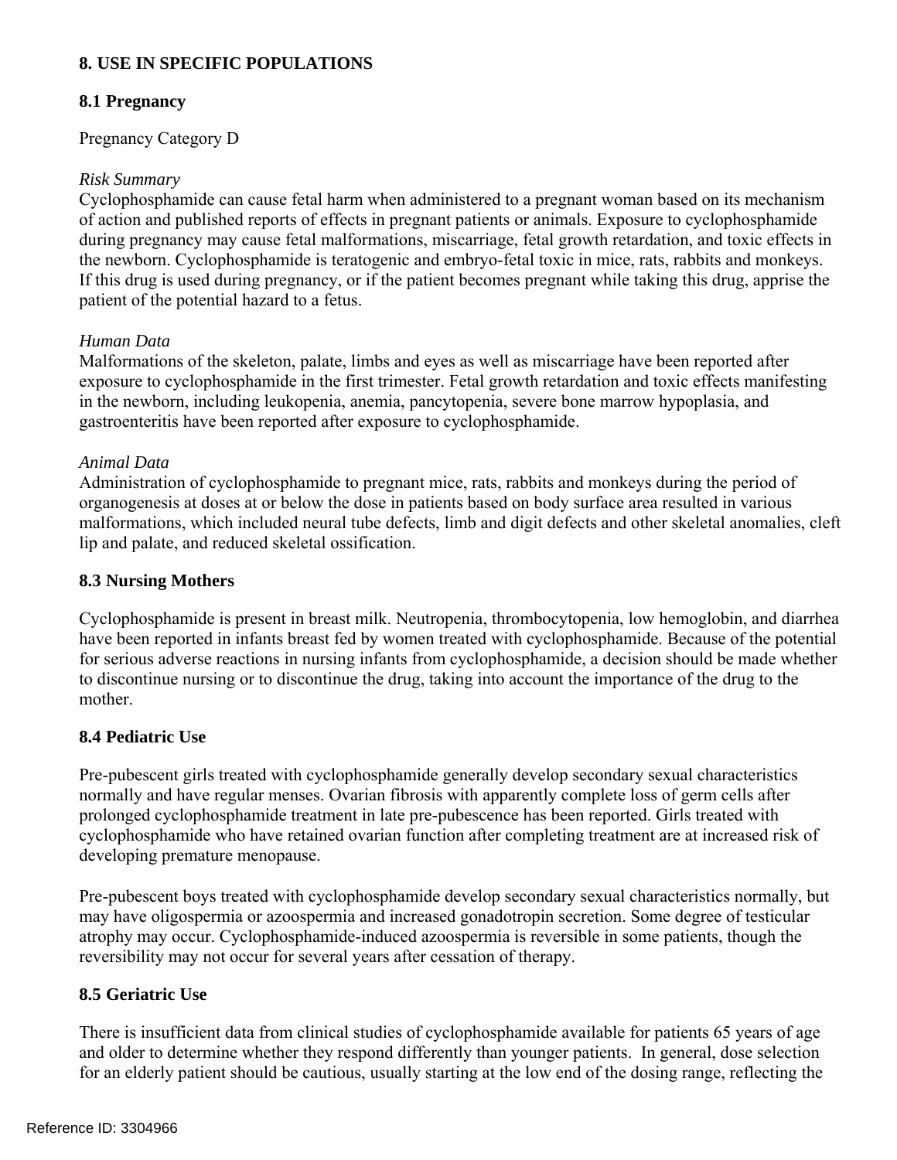# **8. USE IN SPECIFIC POPULATIONS**

# <span id="page-11-1"></span>**8.1 Pregnancy**

#### Pregnancy Category D

#### *Risk Summary*

Cyclophosphamide can cause fetal harm when administered to a pregnant woman based on its mechanism of action and published reports of effects in pregnant patients or animals. Exposure to cyclophosphamide during pregnancy may cause fetal malformations, miscarriage, fetal growth retardation, and toxic effects in the newborn. Cyclophosphamide is teratogenic and embryo-fetal toxic in mice, rats, rabbits and monkeys. If this drug is used during pregnancy, or if the patient becomes pregnant while taking this drug, apprise the patient of the potential hazard to a fetus.

#### *Human Data*

Malformations of the skeleton, palate, limbs and eyes as well as miscarriage have been reported after exposure to cyclophosphamide in the first trimester. Fetal growth retardation and toxic effects manifesting in the newborn, including leukopenia, anemia, pancytopenia, severe bone marrow hypoplasia, and gastroenteritis have been reported after exposure to cyclophosphamide.

#### *Animal Data*

Administration of cyclophosphamide to pregnant mice, rats, rabbits and monkeys during the period of organogenesis at doses at or below the dose in patients based on body surface area resulted in various malformations, which included neural tube defects, limb and digit defects and other skeletal anomalies, cleft lip and palate, and reduced skeletal ossification.

#### <span id="page-11-2"></span>**8.3 Nursing Mothers**

Cyclophosphamide is present in breast milk. Neutropenia, thrombocytopenia, low hemoglobin, and diarrhea have been reported in infants breast fed by women treated with cyclophosphamide. Because of the potential for serious adverse reactions in nursing infants from cyclophosphamide, a decision should be made whether to discontinue nursing or to discontinue the drug, taking into account the importance of the drug to the mother.

## <span id="page-11-0"></span>**8.4 Pediatric Use**

Pre-pubescent girls treated with cyclophosphamide generally develop secondary sexual characteristics normally and have regular menses. Ovarian fibrosis with apparently complete loss of germ cells after prolonged cyclophosphamide treatment in late pre-pubescence has been reported. Girls treated with cyclophosphamide who have retained ovarian function after completing treatment are at increased risk of developing premature menopause.

Pre-pubescent boys treated with cyclophosphamide develop secondary sexual characteristics normally, but may have oligospermia or azoospermia and increased gonadotropin secretion. Some degree of testicular atrophy may occur. Cyclophosphamide-induced azoospermia is reversible in some patients, though the reversibility may not occur for several years after cessation of therapy.

## **8.5 Geriatric Use**

There is insufficient data from clinical studies of cyclophosphamide available for patients 65 years of age and older to determine whether they respond differently than younger patients. In general, dose selection for an elderly patient should be cautious, usually starting at the low end of the dosing range, reflecting the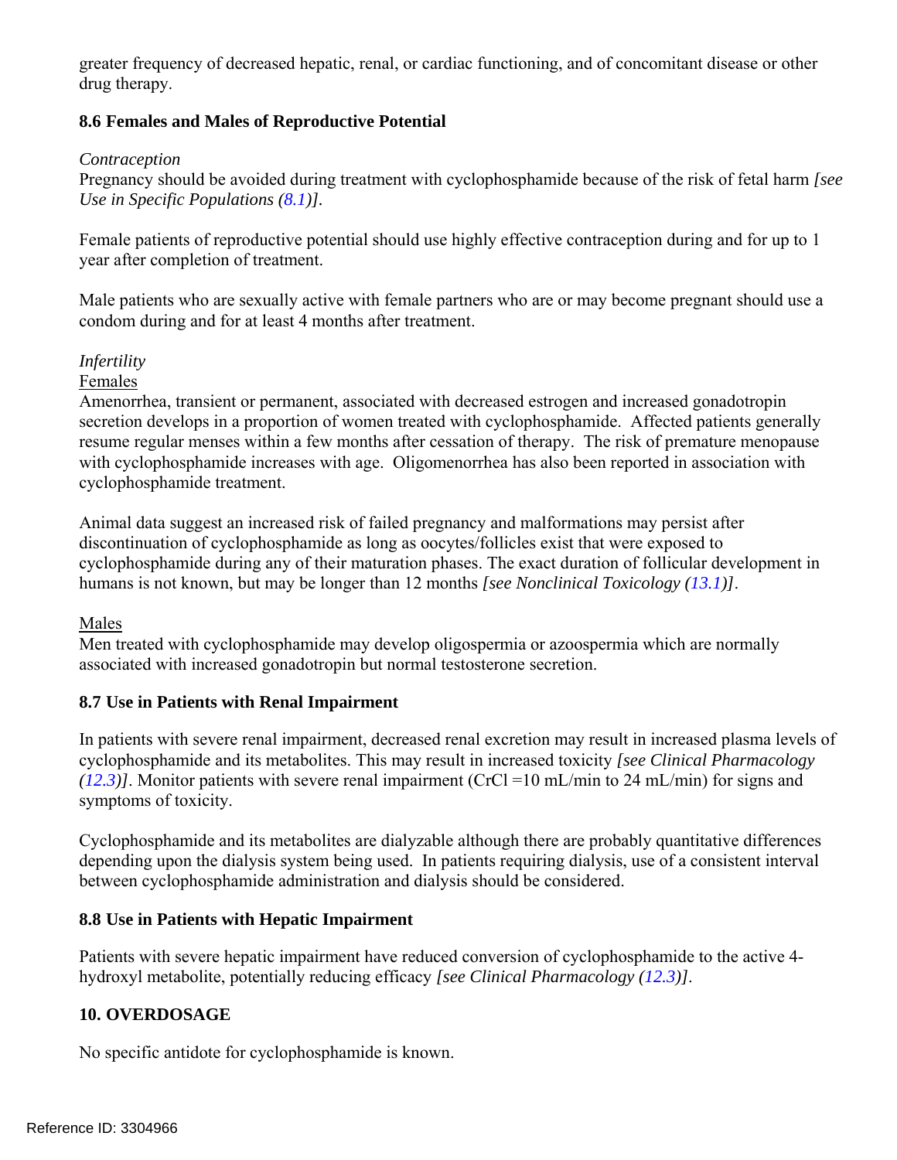greater frequency of decreased hepatic, renal, or cardiac functioning, and of concomitant disease or other drug therapy.

# <span id="page-12-0"></span>**8.6 Females and Males of Reproductive Potential**

#### *Contraception*

 *Use in Specific Populations [\(8.1](#page-11-1))].* Pregnancy should be avoided during treatment with cyclophosphamide because of the risk of fetal harm *[see* 

Female patients of reproductive potential should use highly effective contraception during and for up to 1 year after completion of treatment.

Male patients who are sexually active with female partners who are or may become pregnant should use a condom during and for at least 4 months after treatment.

## *Infertility*

Females

Amenorrhea, transient or permanent, associated with decreased estrogen and increased gonadotropin secretion develops in a proportion of women treated with cyclophosphamide. Affected patients generally resume regular menses within a few months after cessation of therapy. The risk of premature menopause with cyclophosphamide increases with age. Oligomenorrhea has also been reported in association with cyclophosphamide treatment.

Animal data suggest an increased risk of failed pregnancy and malformations may persist after discontinuation of cyclophosphamide as long as oocytes/follicles exist that were exposed to cyclophosphamide during any of their maturation phases. The exact duration of follicular development in humans is not known, but may be longer than 12 months *[see Nonclinical Toxicology ([13.1\)](#page-15-1)]*.

## Males

Men treated with cyclophosphamide may develop oligospermia or azoospermia which are normally associated with increased gonadotropin but normal testosterone secretion.

## <span id="page-12-1"></span>**8.7 Use in Patients with Renal Impairment**

In patients with severe renal impairment, decreased renal excretion may result in increased plasma levels of cyclophosphamide and its metabolites. This may result in increased toxicity *[see Clinical Pharmacology ([12.3](#page-14-0))]*. Monitor patients with severe renal impairment (CrCl =10 mL/min to 24 mL/min) for signs and symptoms of toxicity.

Cyclophosphamide and its metabolites are dialyzable although there are probably quantitative differences depending upon the dialysis system being used. In patients requiring dialysis, use of a consistent interval between cyclophosphamide administration and dialysis should be considered.

## <span id="page-12-2"></span>**8.8 Use in Patients with Hepatic Impairment**

Patients with severe hepatic impairment have reduced conversion of cyclophosphamide to the active 4 hydroxyl metabolite, potentially reducing efficacy *[see Clinical Pharmacology [\(12.3](#page-14-0))]*.

## **10. OVERDOSAGE**

No specific antidote for cyclophosphamide is known.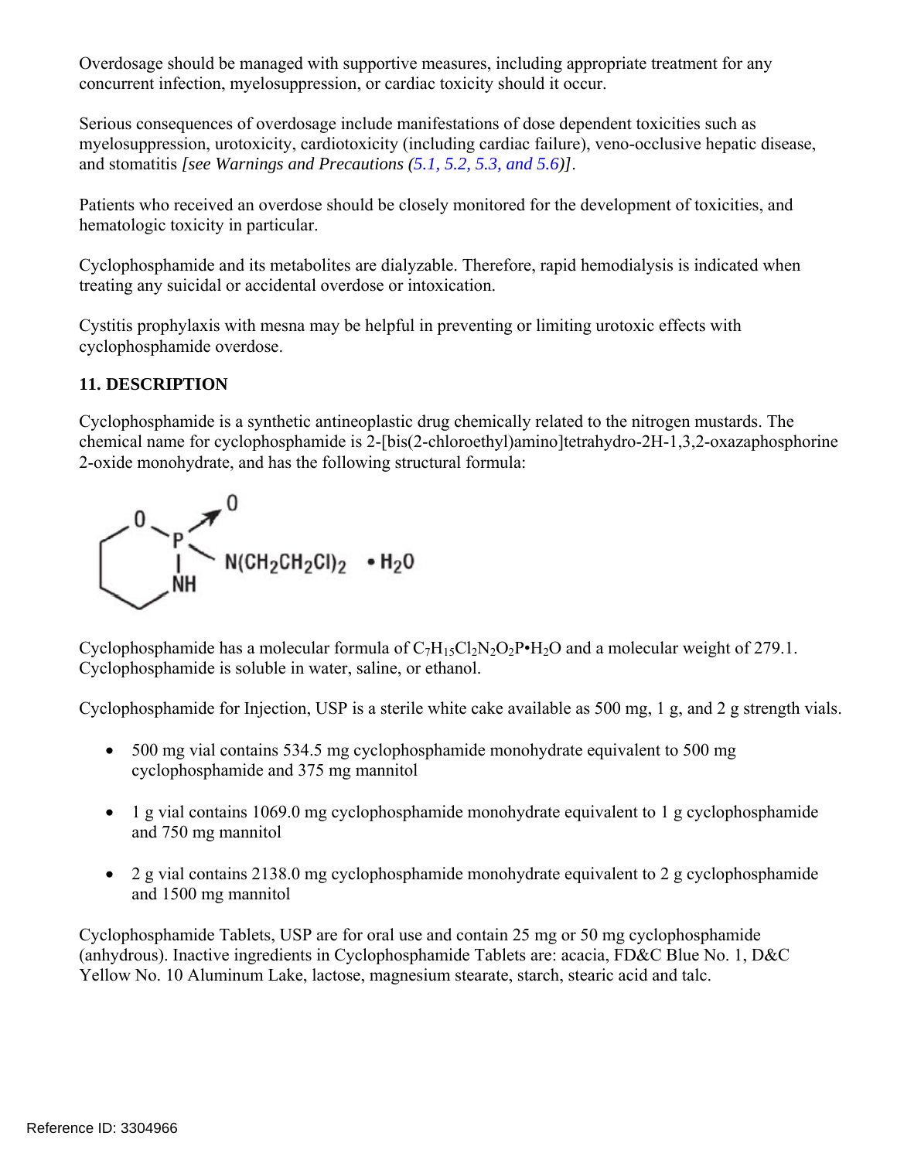Overdosage should be managed with supportive measures, including appropriate treatment for any concurrent infection, myelosuppression, or cardiac toxicity should it occur.

Serious consequences of overdosage include manifestations of dose dependent toxicities such as myelosuppression, urotoxicity, cardiotoxicity (including cardiac failure), veno-occlusive hepatic disease, and stomatitis *[see Warnings and Precautions ([5.1,](#page-5-1) [5.2,](#page-5-0) [5.3,](#page-5-2) and [5.6\)](#page-6-2)]*.

Patients who received an overdose should be closely monitored for the development of toxicities, and hematologic toxicity in particular.

Cyclophosphamide and its metabolites are dialyzable. Therefore, rapid hemodialysis is indicated when treating any suicidal or accidental overdose or intoxication.

Cystitis prophylaxis with mesna may be helpful in preventing or limiting urotoxic effects with cyclophosphamide overdose.

# **11. DESCRIPTION**

Cyclophosphamide is a synthetic antineoplastic drug chemically related to the nitrogen mustards. The chemical name for cyclophosphamide is 2-[bis(2-chloroethyl)amino]tetrahydro-2H-1,3,2-oxazaphosphorine 2-oxide monohydrate, and has the following structural formula:



Cyclophosphamide has a molecular formula of  $C_7H_{15}Cl_2N_2O_2P\bullet H_2O$  and a molecular weight of 279.1. Cyclophosphamide is soluble in water, saline, or ethanol.

Cyclophosphamide for Injection, USP is a sterile white cake available as 500 mg, 1 g, and 2 g strength vials.

- 500 mg vial contains 534.5 mg cyclophosphamide monohydrate equivalent to 500 mg cyclophosphamide and 375 mg mannitol
- 1 g vial contains 1069.0 mg cyclophosphamide monohydrate equivalent to 1 g cyclophosphamide and 750 mg mannitol
- 2 g vial contains 2138.0 mg cyclophosphamide monohydrate equivalent to 2 g cyclophosphamide and 1500 mg mannitol

Cyclophosphamide Tablets, USP are for oral use and contain 25 mg or 50 mg cyclophosphamide (anhydrous). Inactive ingredients in Cyclophosphamide Tablets are: acacia, FD&C Blue No. 1, D&C Yellow No. 10 Aluminum Lake, lactose, magnesium stearate, starch, stearic acid and talc.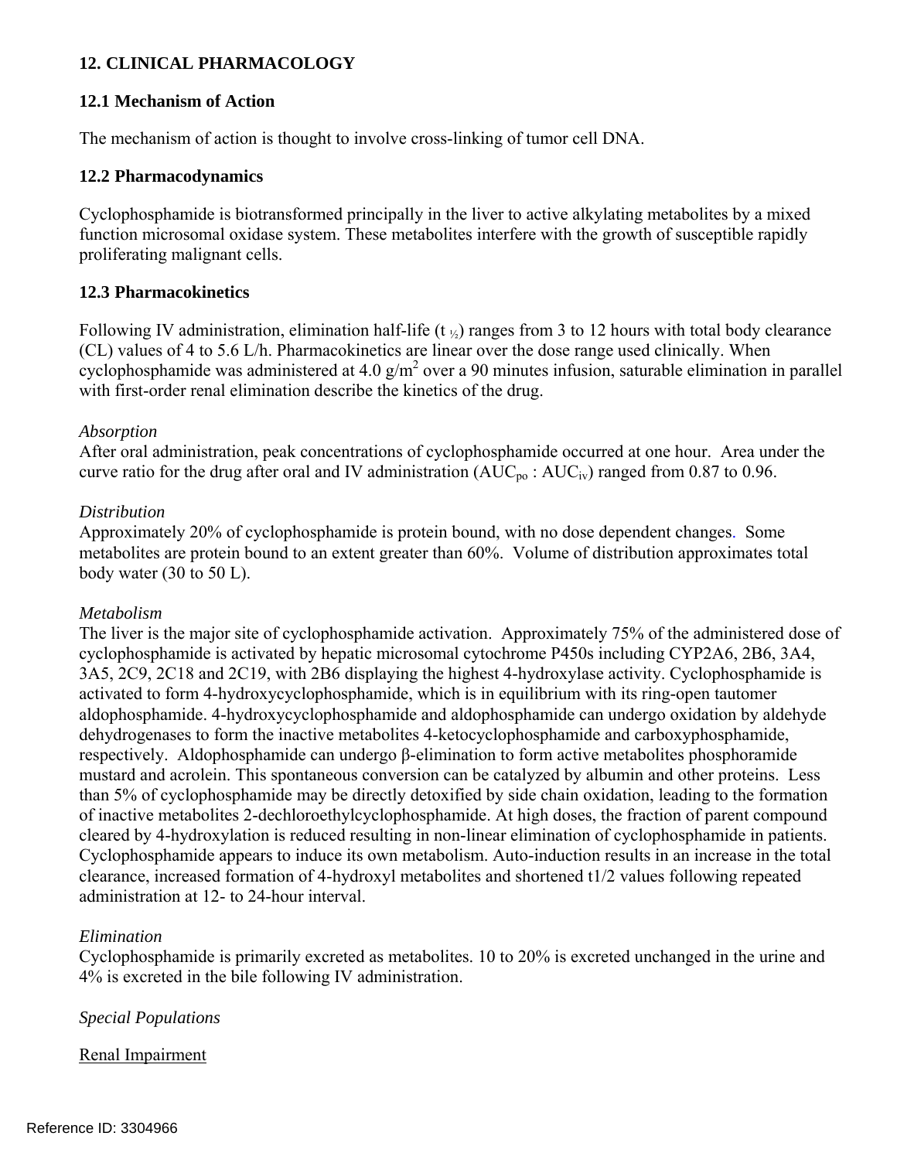# **12. CLINICAL PHARMACOLOGY**

#### **12.1 Mechanism of Action**

The mechanism of action is thought to involve cross-linking of tumor cell DNA.

#### **12.2 Pharmacodynamics**

Cyclophosphamide is biotransformed principally in the liver to active alkylating metabolites by a mixed function microsomal oxidase system. These metabolites interfere with the growth of susceptible rapidly proliferating malignant cells.

#### <span id="page-14-0"></span>**12.3 Pharmacokinetics**

Following IV administration, elimination half-life (t  $\frac{1}{2}$ ) ranges from 3 to 12 hours with total body clearance (CL) values of 4 to 5.6 L/h. Pharmacokinetics are linear over the dose range used clinically. When cyclophosphamide was administered at 4.0  $g/m^2$  over a 90 minutes infusion, saturable elimination in parallel with first-order renal elimination describe the kinetics of the drug.

#### *Absorption*

After oral administration, peak concentrations of cyclophosphamide occurred at one hour. Area under the curve ratio for the drug after oral and IV administration  $(AUC_{po} : AUC_{iv})$  ranged from 0.87 to 0.96.

#### *Distribution*

Approximately 20% of cyclophosphamide is protein bound, with no dose dependent changes. Some metabolites are protein bound to an extent greater than 60%. Volume of distribution approximates total body water  $(30 \text{ to } 50 \text{ L})$ .

#### *Metabolism*

The liver is the major site of cyclophosphamide activation. Approximately 75% of the administered dose of cyclophosphamide is activated by hepatic microsomal cytochrome P450s including CYP2A6, 2B6, 3A4, 3A5, 2C9, 2C18 and 2C19, with 2B6 displaying the highest 4-hydroxylase activity. Cyclophosphamide is activated to form 4-hydroxycyclophosphamide, which is in equilibrium with its ring-open tautomer aldophosphamide. 4-hydroxycyclophosphamide and aldophosphamide can undergo oxidation by aldehyde dehydrogenases to form the inactive metabolites 4-ketocyclophosphamide and carboxyphosphamide, respectively. Aldophosphamide can undergo β-elimination to form active metabolites phosphoramide mustard and acrolein. This spontaneous conversion can be catalyzed by albumin and other proteins. Less than 5% of cyclophosphamide may be directly detoxified by side chain oxidation, leading to the formation of inactive metabolites 2-dechloroethylcyclophosphamide. At high doses, the fraction of parent compound cleared by 4-hydroxylation is reduced resulting in non-linear elimination of cyclophosphamide in patients. Cyclophosphamide appears to induce its own metabolism. Auto-induction results in an increase in the total clearance, increased formation of 4-hydroxyl metabolites and shortened t1/2 values following repeated administration at 12- to 24-hour interval.

#### *Elimination*

Cyclophosphamide is primarily excreted as metabolites. 10 to 20% is excreted unchanged in the urine and 4% is excreted in the bile following IV administration.

## *Special Populations*

Renal Impairment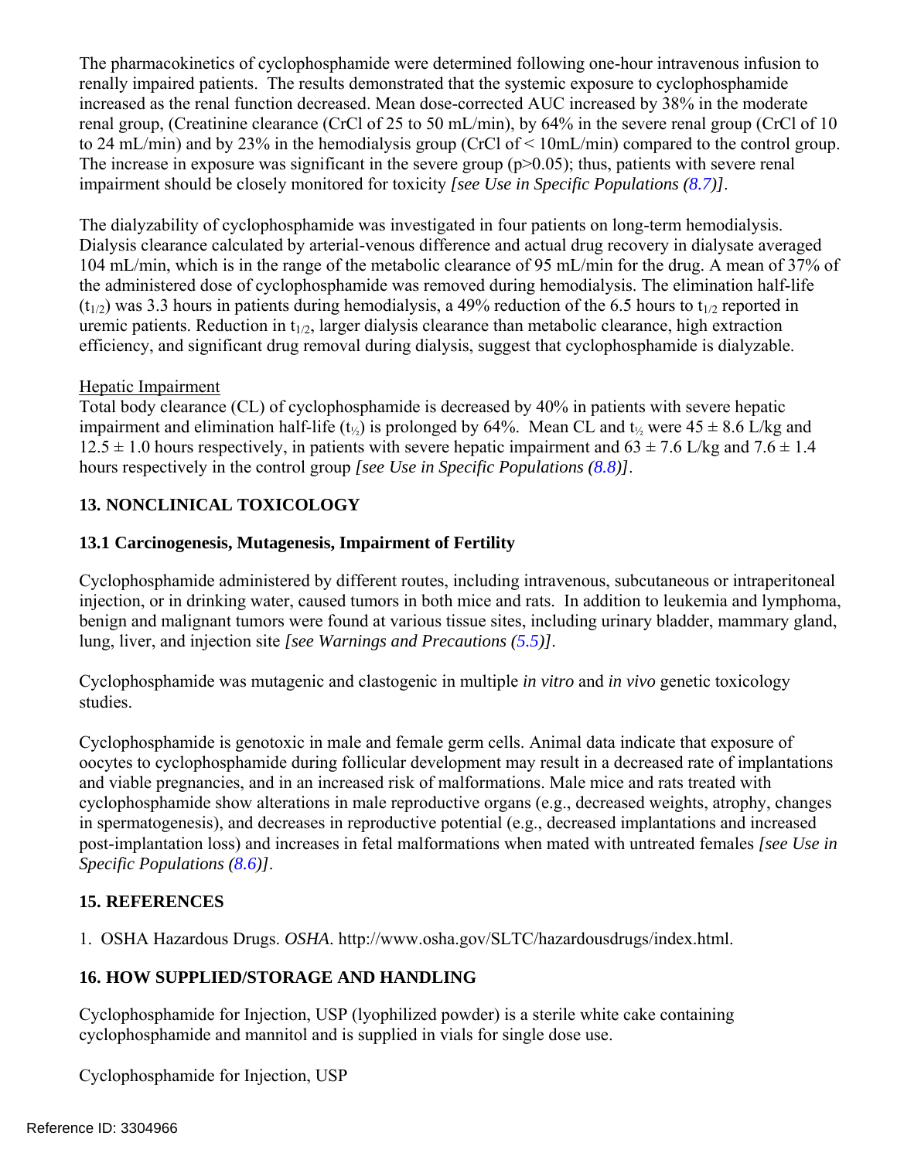The pharmacokinetics of cyclophosphamide were determined following one-hour intravenous infusion to renally impaired patients. The results demonstrated that the systemic exposure to cyclophosphamide increased as the renal function decreased. Mean dose-corrected AUC increased by 38% in the moderate renal group, (Creatinine clearance (CrCl of 25 to 50 mL/min), by 64% in the severe renal group (CrCl of 10 to 24 mL/min) and by 23% in the hemodialysis group (CrCl of < 10mL/min) compared to the control group. The increase in exposure was significant in the severe group  $(p>0.05)$ ; thus, patients with severe renal impairment should be closely monitored for toxicity *[see Use in Specific Populations ([8.7\)](#page-12-1)]*.

The dialyzability of cyclophosphamide was investigated in four patients on long-term hemodialysis. Dialysis clearance calculated by arterial-venous difference and actual drug recovery in dialysate averaged 104 mL/min, which is in the range of the metabolic clearance of 95 mL/min for the drug. A mean of 37% of the administered dose of cyclophosphamide was removed during hemodialysis. The elimination half-life  $(t_{1/2})$  was 3.3 hours in patients during hemodialysis, a 49% reduction of the 6.5 hours to  $t_{1/2}$  reported in uremic patients. Reduction in  $t_{1/2}$ , larger dialysis clearance than metabolic clearance, high extraction efficiency, and significant drug removal during dialysis, suggest that cyclophosphamide is dialyzable.

# Hepatic Impairment

Total body clearance (CL) of cyclophosphamide is decreased by 40% in patients with severe hepatic impairment and elimination half-life ( $t_{\frac{1}{2}}$ ) is prolonged by 64%. Mean CL and  $t_{\frac{1}{2}}$  were 45  $\pm$  8.6 L/kg and  $12.5 \pm 1.0$  hours respectively, in patients with severe hepatic impairment and  $63 \pm 7.6$  L/kg and  $7.6 \pm 1.4$ hours respectively in the control group *[see Use in Specific Populations ([8.8\)](#page-12-2)]*.

# **13. NONCLINICAL TOXICOLOGY**

# <span id="page-15-1"></span>**13.1 Carcinogenesis, Mutagenesis, Impairment of Fertility**

Cyclophosphamide administered by different routes, including intravenous, subcutaneous or intraperitoneal injection, or in drinking water, caused tumors in both mice and rats. In addition to leukemia and lymphoma, benign and malignant tumors were found at various tissue sites, including urinary bladder, mammary gland, lung, liver, and injection site *[see Warnings and Precautions ([5.5\)](#page-6-1)]*.

Cyclophosphamide was mutagenic and clastogenic in multiple *in vitro* and *in vivo* genetic toxicology studies.

Cyclophosphamide is genotoxic in male and female germ cells. Animal data indicate that exposure of oocytes to cyclophosphamide during follicular development may result in a decreased rate of implantations and viable pregnancies, and in an increased risk of malformations. Male mice and rats treated with cyclophosphamide show alterations in male reproductive organs (e.g., decreased weights, atrophy, changes in spermatogenesis), and decreases in reproductive potential (e.g., decreased implantations and increased post-implantation loss) and increases in fetal malformations when mated with untreated females *[see Use in Specific Populations [\(8.6\)](#page-12-0)]*.

# **15. REFERENCES**

<span id="page-15-0"></span>1. OSHA Hazardous Drugs. *OSHA*. http://www.osha.gov/SLTC/hazardousdrugs/index.html.

# **16. HOW SUPPLIED/STORAGE AND HANDLING**

Cyclophosphamide for Injection, USP (lyophilized powder) is a sterile white cake containing cyclophosphamide and mannitol and is supplied in vials for single dose use.

Cyclophosphamide for Injection, USP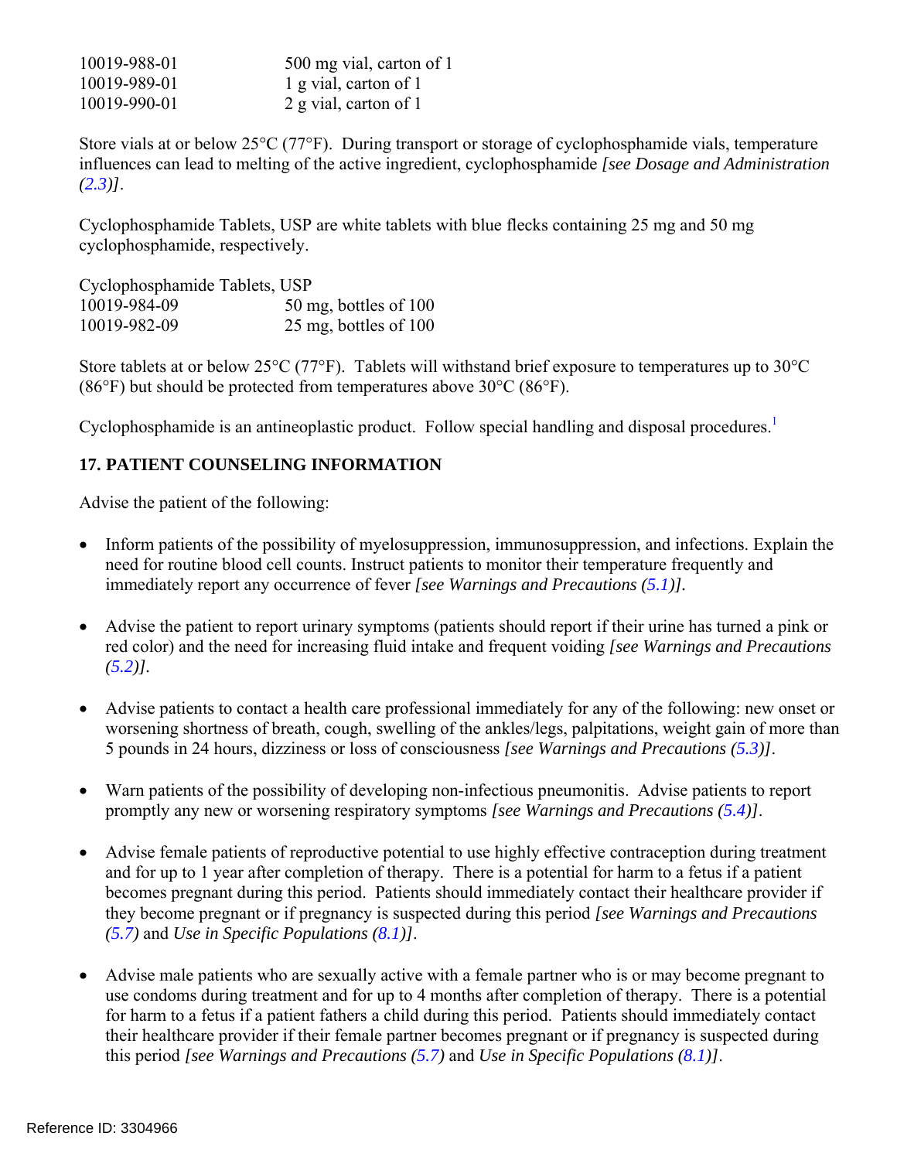| 10019-988-01 | 500 mg vial, carton of 1 |
|--------------|--------------------------|
| 10019-989-01 | 1 g vial, carton of 1    |
| 10019-990-01 | 2 g vial, carton of 1    |

Store vials at or below 25°C (77°F). During transport or storage of cyclophosphamide vials, temperature influences can lead to melting of the active ingredient, cyclophosphamide *[see Dosage and Administration ([2.3](#page-2-0))]*.

Cyclophosphamide Tablets, USP are white tablets with blue flecks containing 25 mg and 50 mg cyclophosphamide, respectively.

Cyclophosphamide Tablets, USP 10019-984-09 50 mg, bottles of 100 10019-982-09 25 mg, bottles of 100

Store tablets at or below 25°C (77°F). Tablets will withstand brief exposure to temperatures up to 30°C (86°F) but should be protected from temperatures above 30°C (86°F).

Cyclophosphamide is an antineoplastic product. Follow special handling and disposal procedures.<sup>1</sup>

# **17. PATIENT COUNSELING INFORMATION**

Advise the patient of the following:

- Inform patients of the possibility of myelosuppression, immunosuppression, and infections. Explain the need for routine blood cell counts. Instruct patients to monitor their temperature frequently and immediately report any occurrence of fever *[see Warnings and Precautions ([5.1\)](#page-5-1)].*
- Advise the patient to report urinary symptoms (patients should report if their urine has turned a pink or red color) and the need for increasing fluid intake and frequent voiding *[see Warnings and Precautions*   $(5.2)$  $(5.2)$  $(5.2)$ ].
- Advise patients to contact a health care professional immediately for any of the following: new onset or worsening shortness of breath, cough, swelling of the ankles/legs, palpitations, weight gain of more than 5 pounds in 24 hours, dizziness or loss of consciousness *[see Warnings and Precautions ([5.3\)](#page-5-2)]*.
- Warn patients of the possibility of developing non-infectious pneumonitis. Advise patients to report promptly any new or worsening respiratory symptoms *[see Warnings and Precautions [\(5.4](#page-6-0))]*.
- Advise female patients of reproductive potential to use highly effective contraception during treatment and for up to 1 year after completion of therapy. There is a potential for harm to a fetus if a patient becomes pregnant during this period. Patients should immediately contact their healthcare provider if they become pregnant or if pregnancy is suspected during this period *[see Warnings and Precautions ([5.7](#page-6-3))* and *Use in Specific Populations [\(8.1](#page-11-1))]*.
- Advise male patients who are sexually active with a female partner who is or may become pregnant to use condoms during treatment and for up to 4 months after completion of therapy. There is a potential for harm to a fetus if a patient fathers a child during this period. Patients should immediately contact their healthcare provider if their female partner becomes pregnant or if pregnancy is suspected during this period *[see Warnings and Precautions ([5.7\)](#page-6-3)* and *Use in Specific Populations ([8.1\)](#page-11-1)]*.